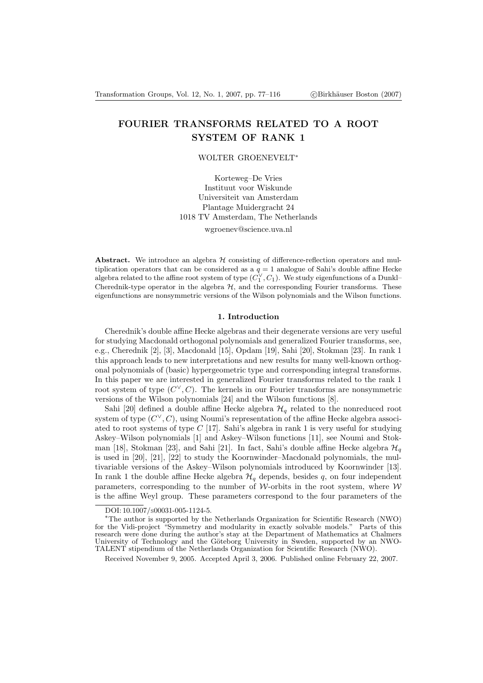# FOURIER TRANSFORMS RELATED TO A ROOT SYSTEM OF RANK 1

# WOLTER GROENEVELT ∗

Korteweg–De Vries Instituut voor Wiskunde Universiteit van Amsterdam Plantage Muidergracht 24 1018 TV Amsterdam, The Netherlands wgroenev@science.uva.nl

Abstract. We introduce an algebra  $H$  consisting of difference-reflection operators and multiplication operators that can be considered as a  $q = 1$  analogue of Sahi's double affine Hecke algebra related to the affine root system of type  $(\tilde{C}_1^{\vee}, C_1)$ . We study eigenfunctions of a Dunkl– Cherednik-type operator in the algebra  $H$ , and the corresponding Fourier transforms. These eigenfunctions are nonsymmetric versions of the Wilson polynomials and the Wilson functions.

#### 1. Introduction

Cherednik's double affine Hecke algebras and their degenerate versions are very useful for studying Macdonald orthogonal polynomials and generalized Fourier transforms, see, e.g., Cherednik [2], [3], Macdonald [15], Opdam [19], Sahi [20], Stokman [23]. In rank 1 this approach leads to new interpretations and new results for many well-known orthogonal polynomials of (basic) hypergeometric type and corresponding integral transforms. In this paper we are interested in generalized Fourier transforms related to the rank 1 root system of type  $(C^{\vee}, C)$ . The kernels in our Fourier transforms are nonsymmetric versions of the Wilson polynomials [24] and the Wilson functions [8].

Sahi [20] defined a double affine Hecke algebra  $\mathcal{H}_q$  related to the nonreduced root system of type  $(C^{\vee}, C)$ , using Noumi's representation of the affine Hecke algebra associated to root systems of type  $C$  [17]. Sahi's algebra in rank 1 is very useful for studying Askey–Wilson polynomials [1] and Askey–Wilson functions [11], see Noumi and Stokman [18], Stokman [23], and Sahi [21]. In fact, Sahi's double affine Hecke algebra  $\mathcal{H}_a$ is used in [20], [21], [22] to study the Koornwinder–Macdonald polynomials, the multivariable versions of the Askey–Wilson polynomials introduced by Koornwinder [13]. In rank 1 the double affine Hecke algebra  $\mathcal{H}_q$  depends, besides q, on four independent parameters, corresponding to the number of W-orbits in the root system, where  $W$ is the affine Weyl group. These parameters correspond to the four parameters of the

DOI: 10.1007/S00031-005-1124-5.

<sup>∗</sup>The author is supported by the Netherlands Organization for Scientific Research (NWO) for the Vidi-project "Symmetry and modularity in exactly solvable models." Parts of this research were done during the author's stay at the Department of Mathematics at Chalmers University of Technology and the Göteborg University in Sweden, supported by an NWO-TALENT stipendium of the Netherlands Organization for Scientific Research (NWO).

Received November 9, 2005. Accepted April 3, 2006. Published online February 22, 2007.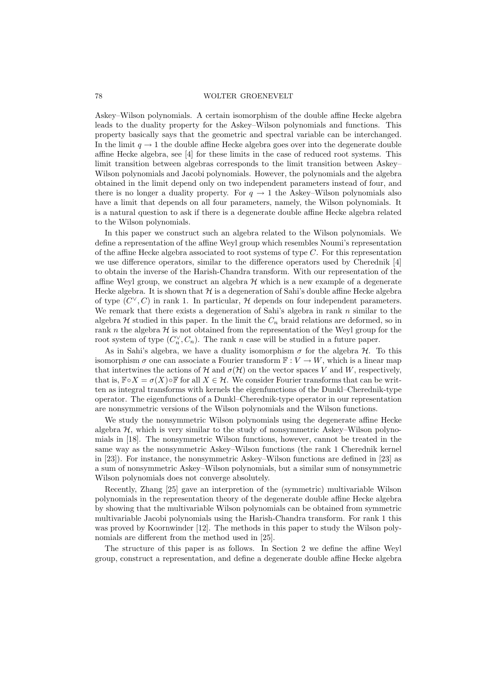Askey–Wilson polynomials. A certain isomorphism of the double affine Hecke algebra leads to the duality property for the Askey–Wilson polynomials and functions. This property basically says that the geometric and spectral variable can be interchanged. In the limit  $q \rightarrow 1$  the double affine Hecke algebra goes over into the degenerate double affine Hecke algebra, see [4] for these limits in the case of reduced root systems. This limit transition between algebras corresponds to the limit transition between Askey– Wilson polynomials and Jacobi polynomials. However, the polynomials and the algebra obtained in the limit depend only on two independent parameters instead of four, and there is no longer a duality property. For  $q \to 1$  the Askey–Wilson polynomials also have a limit that depends on all four parameters, namely, the Wilson polynomials. It is a natural question to ask if there is a degenerate double affine Hecke algebra related to the Wilson polynomials.

In this paper we construct such an algebra related to the Wilson polynomials. We define a representation of the affine Weyl group which resembles Noumi's representation of the affine Hecke algebra associated to root systems of type  $C$ . For this representation we use difference operators, similar to the difference operators used by Cherednik [4] to obtain the inverse of the Harish-Chandra transform. With our representation of the affine Weyl group, we construct an algebra  $\mathcal H$  which is a new example of a degenerate Hecke algebra. It is shown that  $H$  is a degeneration of Sahi's double affine Hecke algebra of type  $(C^{\vee}, C)$  in rank 1. In particular, H depends on four independent parameters. We remark that there exists a degeneration of Sahi's algebra in rank  $n$  similar to the algebra  $H$  studied in this paper. In the limit the  $C_n$  braid relations are deformed, so in rank n the algebra  $H$  is not obtained from the representation of the Weyl group for the root system of type  $(C_n^{\vee}, C_n)$ . The rank n case will be studied in a future paper.

As in Sahi's algebra, we have a duality isomorphism  $\sigma$  for the algebra  $\mathcal{H}$ . To this isomorphism  $\sigma$  one can associate a Fourier transform  $\mathbb{F}: V \to W$ , which is a linear map that intertwines the actions of H and  $\sigma(\mathcal{H})$  on the vector spaces V and W, respectively, that is,  $\mathbb{F} \circ X = \sigma(X) \circ \mathbb{F}$  for all  $X \in \mathcal{H}$ . We consider Fourier transforms that can be written as integral transforms with kernels the eigenfunctions of the Dunkl–Cherednik-type operator. The eigenfunctions of a Dunkl–Cherednik-type operator in our representation are nonsymmetric versions of the Wilson polynomials and the Wilson functions.

We study the nonsymmetric Wilson polynomials using the degenerate affine Hecke algebra  $H$ , which is very similar to the study of nonsymmetric Askey–Wilson polynomials in [18]. The nonsymmetric Wilson functions, however, cannot be treated in the same way as the nonsymmetric Askey–Wilson functions (the rank 1 Cherednik kernel in [23]). For instance, the nonsymmetric Askey–Wilson functions are defined in [23] as a sum of nonsymmetric Askey–Wilson polynomials, but a similar sum of nonsymmetric Wilson polynomials does not converge absolutely.

Recently, Zhang [25] gave an interpretion of the (symmetric) multivariable Wilson polynomials in the representation theory of the degenerate double affine Hecke algebra by showing that the multivariable Wilson polynomials can be obtained from symmetric multivariable Jacobi polynomials using the Harish-Chandra transform. For rank 1 this was proved by Koornwinder [12]. The methods in this paper to study the Wilson polynomials are different from the method used in [25].

The structure of this paper is as follows. In Section 2 we define the affine Weyl group, construct a representation, and define a degenerate double affine Hecke algebra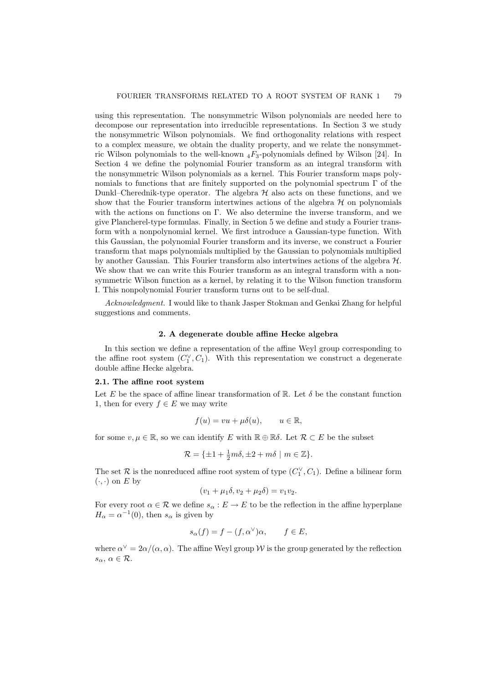using this representation. The nonsymmetric Wilson polynomials are needed here to decompose our representation into irreducible representations. In Section 3 we study the nonsymmetric Wilson polynomials. We find orthogonality relations with respect to a complex measure, we obtain the duality property, and we relate the nonsymmetric Wilson polynomials to the well-known  $_4F_3$ -polynomials defined by Wilson [24]. In Section 4 we define the polynomial Fourier transform as an integral transform with the nonsymmetric Wilson polynomials as a kernel. This Fourier transform maps polynomials to functions that are finitely supported on the polynomial spectrum  $\Gamma$  of the Dunkl–Cherednik-type operator. The algebra  $\mathcal H$  also acts on these functions, and we show that the Fourier transform intertwines actions of the algebra  $\mathcal H$  on polynomials with the actions on functions on  $\Gamma$ . We also determine the inverse transform, and we give Plancherel-type formulas. Finally, in Section 5 we define and study a Fourier transform with a nonpolynomial kernel. We first introduce a Gaussian-type function. With this Gaussian, the polynomial Fourier transform and its inverse, we construct a Fourier transform that maps polynomials multiplied by the Gaussian to polynomials multiplied by another Gaussian. This Fourier transform also intertwines actions of the algebra  $\mathcal{H}$ . We show that we can write this Fourier transform as an integral transform with a nonsymmetric Wilson function as a kernel, by relating it to the Wilson function transform I. This nonpolynomial Fourier transform turns out to be self-dual.

Acknowledgment. I would like to thank Jasper Stokman and Genkai Zhang for helpful suggestions and comments.

#### 2. A degenerate double affine Hecke algebra

In this section we define a representation of the affine Weyl group corresponding to the affine root system  $(C_1^{\vee}, C_1)$ . With this representation we construct a degenerate double affine Hecke algebra.

### 2.1. The affine root system

Let E be the space of affine linear transformation of  $\mathbb{R}$ . Let  $\delta$  be the constant function 1, then for every  $f \in E$  we may write

$$
f(u) = vu + \mu \delta(u), \qquad u \in \mathbb{R},
$$

for some  $v, \mu \in \mathbb{R}$ , so we can identify E with  $\mathbb{R} \oplus \mathbb{R} \delta$ . Let  $\mathcal{R} \subset E$  be the subset

$$
\mathcal{R} = \{ \pm 1 + \frac{1}{2}m\delta, \pm 2 + m\delta \mid m \in \mathbb{Z} \}.
$$

The set  $\mathcal R$  is the nonreduced affine root system of type  $(C_1^{\vee}, C_1)$ . Define a bilinear form  $(\cdot, \cdot)$  on E by

$$
(v_1 + \mu_1 \delta, v_2 + \mu_2 \delta) = v_1 v_2.
$$

For every root  $\alpha \in \mathcal{R}$  we define  $s_{\alpha}: E \to E$  to be the reflection in the affine hyperplane  $H_{\alpha} = \alpha^{-1}(0)$ , then  $s_{\alpha}$  is given by

$$
s_{\alpha}(f) = f - (f, \alpha^{\vee})\alpha, \qquad f \in E,
$$

where  $\alpha^{\vee} = 2\alpha/(\alpha, \alpha)$ . The affine Weyl group W is the group generated by the reflection  $s_{\alpha}, \alpha \in \mathcal{R}.$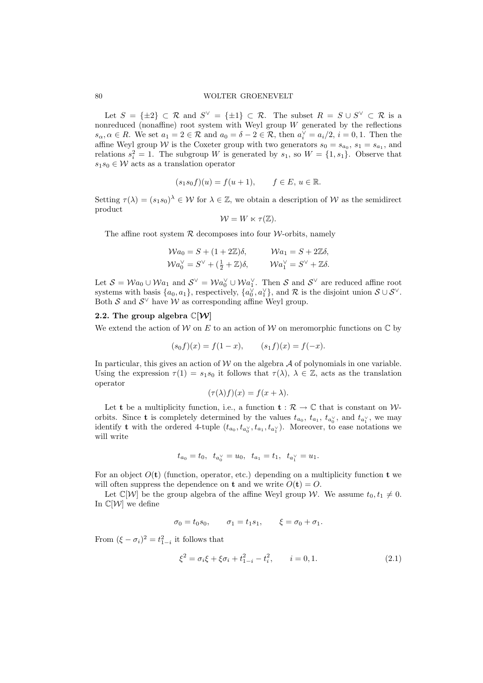Let  $S = {\pm 2} \subset \mathcal{R}$  and  $S^{\vee} = {\pm 1} \subset \mathcal{R}$ . The subset  $R = S \cup S^{\vee} \subset \mathcal{R}$  is a nonreduced (nonaffine) root system with Weyl group  $W$  generated by the reflections  $s_{\alpha}, \alpha \in R$ . We set  $a_1 = 2 \in \mathcal{R}$  and  $a_0 = \delta - 2 \in \mathcal{R}$ , then  $a_i^{\vee} = a_i/2$ ,  $i = 0, 1$ . Then the affine Weyl group W is the Coxeter group with two generators  $s_0 = s_{a_0}, s_1 = s_{a_1}$ , and relations  $s_i^2 = 1$ . The subgroup W is generated by  $s_1$ , so  $W = \{1, s_1\}$ . Observe that  $s_1s_0 \in \mathcal{W}$  acts as a translation operator

$$
(s_1s_0f)(u) = f(u+1), \quad f \in E, u \in \mathbb{R}.
$$

Setting  $\tau(\lambda) = (s_1s_0)^\lambda \in \mathcal{W}$  for  $\lambda \in \mathbb{Z}$ , we obtain a description of W as the semidirect product

$$
\mathcal{W}=W\ltimes \tau(\mathbb{Z}).
$$

The affine root system  $R$  decomposes into four *W*-orbits, namely

$$
\mathcal{W}a_0 = S + (1 + 2\mathbb{Z})\delta, \qquad \mathcal{W}a_1 = S + 2\mathbb{Z}\delta, \mathcal{W}a_0^{\vee} = S^{\vee} + (\frac{1}{2} + \mathbb{Z})\delta, \qquad \mathcal{W}a_1^{\vee} = S^{\vee} + \mathbb{Z}\delta.
$$

Let  $S = Wa_0 \cup Wa_1$  and  $S^{\vee} = Wa_0^{\vee} \cup Wa_1^{\vee}$ . Then S and  $S^{\vee}$  are reduced affine root systems with basis  $\{a_0, a_1\}$ , respectively,  $\{a_0^{\vee}, a_1^{\vee}\}$ , and  $\mathcal{R}$  is the disjoint union  $\mathcal{S} \cup \mathcal{S}^{\vee}$ . Both  $S$  and  $S^{\vee}$  have W as corresponding affine Weyl group.

### 2.2. The group algebra  $\mathbb{C}[\mathcal{W}]$

We extend the action of  $\mathcal W$  on E to an action of  $\mathcal W$  on meromorphic functions on  $\mathbb C$  by

$$
(s_0 f)(x) = f(1 - x), \qquad (s_1 f)(x) = f(-x).
$$

In particular, this gives an action of  $\mathcal W$  on the algebra  $\mathcal A$  of polynomials in one variable. Using the expression  $\tau(1) = s_1s_0$  it follows that  $\tau(\lambda)$ ,  $\lambda \in \mathbb{Z}$ , acts as the translation operator

$$
(\tau(\lambda)f)(x) = f(x + \lambda).
$$

Let t be a multiplicity function, i.e., a function  $t : \mathcal{R} \to \mathbb{C}$  that is constant on Worbits. Since **t** is completely determined by the values  $t_{a_0}$ ,  $t_{a_1}$ ,  $t_{a_0}$ , and  $t_{a_1}$ , we may identify **t** with the ordered 4-tuple  $(t_{a_0}, t_{a_0} \prime, t_{a_1}, t_{a_1} \prime)$ . Moreover, to ease notations we will write

$$
t_{a_0}=t_0,\;\;t_{a_0^\vee}=u_0,\;\;t_{a_1}=t_1,\;\;t_{a_1^\vee}=u_1.
$$

For an object  $O(t)$  (function, operator, etc.) depending on a multiplicity function t we will often suppress the dependence on **t** and we write  $O(\mathbf{t}) = O$ .

Let  $\mathbb{C}[\mathcal{W}]$  be the group algebra of the affine Weyl group W. We assume  $t_0, t_1 \neq 0$ . In  $\mathbb{C}[\mathcal{W}]$  we define

$$
\sigma_0 = t_0 s_0, \quad \sigma_1 = t_1 s_1, \quad \xi = \sigma_0 + \sigma_1.
$$

From  $(\xi - \sigma_i)^2 = t_{1-i}^2$  it follows that

$$
\xi^2 = \sigma_i \xi + \xi \sigma_i + t_{1-i}^2 - t_i^2, \qquad i = 0, 1.
$$
 (2.1)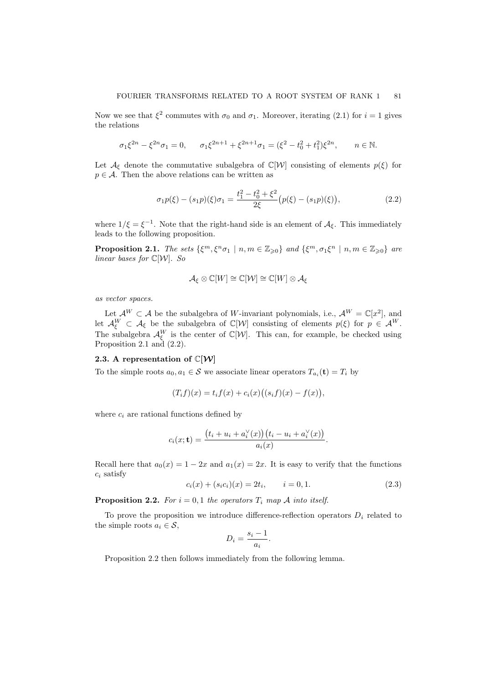Now we see that  $\xi^2$  commutes with  $\sigma_0$  and  $\sigma_1$ . Moreover, iterating (2.1) for  $i = 1$  gives the relations

$$
\sigma_1 \xi^{2n} - \xi^{2n} \sigma_1 = 0, \quad \sigma_1 \xi^{2n+1} + \xi^{2n+1} \sigma_1 = (\xi^2 - t_0^2 + t_1^2) \xi^{2n}, \quad n \in \mathbb{N}.
$$

Let  $\mathcal{A}_{\xi}$  denote the commutative subalgebra of  $\mathbb{C}[\mathcal{W}]$  consisting of elements  $p(\xi)$  for  $p \in \mathcal{A}$ . Then the above relations can be written as

$$
\sigma_1 p(\xi) - (s_1 p)(\xi)\sigma_1 = \frac{t_1^2 - t_0^2 + \xi^2}{2\xi} (p(\xi) - (s_1 p)(\xi)),\tag{2.2}
$$

where  $1/\xi = \xi^{-1}$ . Note that the right-hand side is an element of  $\mathcal{A}_{\xi}$ . This immediately leads to the following proposition.

**Proposition 2.1.** The sets  $\{\xi^m, \xi^n \sigma_1 \mid n, m \in \mathbb{Z}_{\geq 0}\}$  and  $\{\xi^m, \sigma_1 \xi^n \mid n, m \in \mathbb{Z}_{\geq 0}\}$  are linear bases for  $\mathbb{C}[W]$ . So

$$
\mathcal{A}_{\xi} \otimes \mathbb{C}[W] \cong \mathbb{C}[\mathcal{W}] \cong \mathbb{C}[W] \otimes \mathcal{A}_{\xi}
$$

as vector spaces.

Let  $\mathcal{A}^W \subset \mathcal{A}$  be the subalgebra of W-invariant polynomials, i.e.,  $\mathcal{A}^W = \mathbb{C}[x^2]$ , and let  $\mathcal{A}_{\xi}^{W} \subset \mathcal{A}_{\xi}$  be the subalgebra of  $\mathbb{C}[\mathcal{W}]$  consisting of elements  $p(\xi)$  for  $p \in \mathcal{A}^{W}$ . The subalgebra  $\mathcal{A}_{\xi}^{W}$  is the center of  $\mathbb{C}[W]$ . This can, for example, be checked using Proposition 2.1 and (2.2).

# 2.3. A representation of  $\mathbb{C}[\mathcal{W}]$

To the simple roots  $a_0, a_1 \in \mathcal{S}$  we associate linear operators  $T_{a_i}(\mathbf{t}) = T_i$  by

$$
(T_i f)(x) = t_i f(x) + c_i(x) ((s_i f)(x) - f(x)),
$$

where  $c_i$  are rational functions defined by

$$
c_i(x; \mathbf{t}) = \frac{(t_i + u_i + a_i^{\vee}(x))(t_i - u_i + a_i^{\vee}(x))}{a_i(x)}.
$$

Recall here that  $a_0(x) = 1 - 2x$  and  $a_1(x) = 2x$ . It is easy to verify that the functions  $c_i$  satisfy

$$
c_i(x) + (s_i c_i)(x) = 2t_i, \qquad i = 0, 1.
$$
\n(2.3)

**Proposition 2.2.** For  $i = 0, 1$  the operators  $T_i$  map A into itself.

To prove the proposition we introduce difference-reflection operators  $D_i$  related to the simple roots  $a_i \in \mathcal{S}$ ,

$$
D_i = \frac{s_i - 1}{a_i}.
$$

Proposition 2.2 then follows immediately from the following lemma.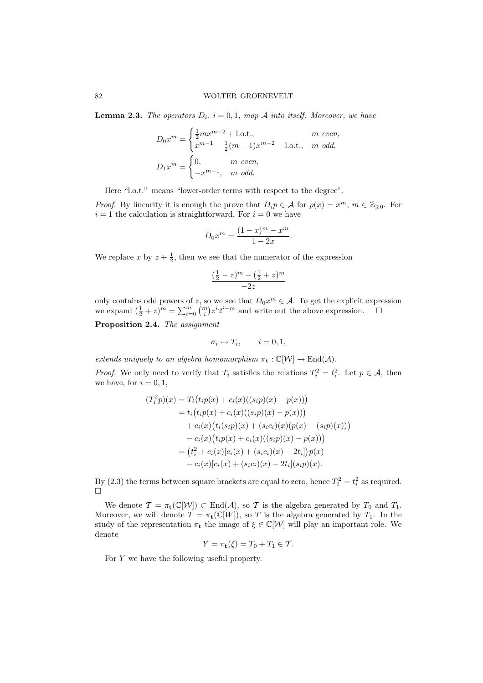**Lemma 2.3.** The operators  $D_i$ ,  $i = 0, 1$ , map A into itself. Moreover, we have

$$
D_0 x^m = \begin{cases} \frac{1}{2} m x^{m-2} + 1 \cdot 0 \cdot t, & m \text{ even,} \\ x^{m-1} - \frac{1}{2} (m-1) x^{m-2} + 1 \cdot 0 \cdot t, & m \text{ odd,} \end{cases}
$$
  

$$
D_1 x^m = \begin{cases} 0, & m \text{ even,} \\ -x^{m-1}, & m \text{ odd.} \end{cases}
$$

Here "l.o.t." means "lower-order terms with respect to the degree".

*Proof.* By linearity it is enough the prove that  $D_i p \in A$  for  $p(x) = x^m$ ,  $m \in \mathbb{Z}_{\geqslant 0}$ . For  $i = 1$  the calculation is straightforward. For  $i = 0$  we have

$$
D_0 x^m = \frac{(1-x)^m - x^m}{1 - 2x}.
$$

We replace x by  $z + \frac{1}{2}$ , then we see that the numerator of the expression

$$
\frac{(\frac{1}{2} - z)^m - (\frac{1}{2} + z)^m}{-2z}
$$

only contains odd powers of z, so we see that  $D_0x^m \in A$ . To get the explicit expression we expand  $(\frac{1}{2} + z)^m = \sum_{i=0}^m {m \choose i} z^i 2^{i-m}$  and write out the above expression.

Proposition 2.4. The assignment

$$
\sigma_i \mapsto T_i, \qquad i = 0, 1,
$$

extends uniquely to an algebra homomorphism  $\pi_{\mathbf{t}} : \mathbb{C}[\mathcal{W}] \to \text{End}(\mathcal{A})$ .

*Proof.* We only need to verify that  $T_i$  satisfies the relations  $T_i^2 = t_i^2$ . Let  $p \in A$ , then we have, for  $i = 0, 1$ ,

$$
(T_i^2 p)(x) = T_i(t_i p(x) + c_i(x)((s_i p)(x) - p(x)))
$$
  
=  $t_i(t_i p(x) + c_i(x)((s_i p)(x) - p(x)))$   
+  $c_i(x)(t_i(s_i p)(x) + (s_i c_i)(x)(p(x) - (s_i p)(x)))$   
-  $c_i(x)(t_i p(x) + c_i(x)((s_i p)(x) - p(x)))$   
=  $(t_i^2 + c_i(x)[c_i(x) + (s_i c_i)(x) - 2t_i])p(x)$   
-  $c_i(x)[c_i(x) + (s_i c_i)(x) - 2t_i](s_i p)(x).$ 

By (2.3) the terms between square brackets are equal to zero, hence  $T_i^2 = t_i^2$  as required.  $\Box$ 

We denote  $\mathcal{T} = \pi_t(\mathbb{C}[\mathcal{W}]) \subset \text{End}(\mathcal{A}),$  so  $\mathcal{T}$  is the algebra generated by  $T_0$  and  $T_1$ . Moreover, we will denote  $T = \pi_t(\mathbb{C}[W])$ , so T is the algebra generated by  $T_1$ . In the study of the representation  $\pi_{\mathbf{t}}$  the image of  $\xi \in \mathbb{C}[\mathcal{W}]$  will play an important role. We denote

$$
Y = \pi_{\mathbf{t}}(\xi) = T_0 + T_1 \in \mathcal{T}.
$$

For Y we have the following useful property.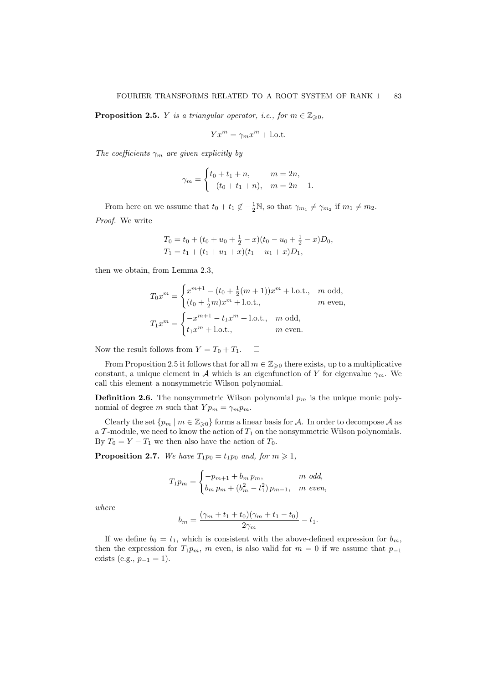**Proposition 2.5.** *Y* is a triangular operator, i.e., for  $m \in \mathbb{Z}_{\geqslant 0}$ ,

$$
Yx^m = \gamma_m x^m + \text{l.o.t.}
$$

The coefficients  $\gamma_m$  are given explicitly by

$$
\gamma_m = \begin{cases} t_0 + t_1 + n, & m = 2n, \\ -(t_0 + t_1 + n), & m = 2n - 1. \end{cases}
$$

From here on we assume that  $t_0 + t_1 \notin -\frac{1}{2}\mathbb{N}$ , so that  $\gamma_{m_1} \neq \gamma_{m_2}$  if  $m_1 \neq m_2$ . Proof. We write

$$
T_0 = t_0 + (t_0 + u_0 + \frac{1}{2} - x)(t_0 - u_0 + \frac{1}{2} - x)D_0,
$$
  
\n
$$
T_1 = t_1 + (t_1 + u_1 + x)(t_1 - u_1 + x)D_1,
$$

then we obtain, from Lemma 2.3,

$$
T_0 x^m = \begin{cases} x^{m+1} - (t_0 + \frac{1}{2}(m+1))x^m + \text{l.o.t.}, & m \text{ odd}, \\ (t_0 + \frac{1}{2}m)x^m + \text{l.o.t.}, & m \text{ even}, \end{cases}
$$
  

$$
T_1 x^m = \begin{cases} -x^{m+1} - t_1 x^m + \text{l.o.t.}, & m \text{ odd}, \\ t_1 x^m + \text{l.o.t.}, & m \text{ even}. \end{cases}
$$

Now the result follows from  $Y = T_0 + T_1$ .  $\Box$ 

From Proposition 2.5 it follows that for all  $m \in \mathbb{Z}_{\geqslant 0}$  there exists, up to a multiplicative constant, a unique element in A which is an eigenfunction of Y for eigenvalue  $\gamma_m$ . We call this element a nonsymmetric Wilson polynomial.

**Definition 2.6.** The nonsymmetric Wilson polynomial  $p_m$  is the unique monic polynomial of degree m such that  $Y p_m = \gamma_m p_m$ .

Clearly the set  $\{p_m \mid m \in \mathbb{Z}_{\geq 0}\}$  forms a linear basis for A. In order to decompose A as a  $\mathcal T$ -module, we need to know the action of  $T_1$  on the nonsymmetric Wilson polynomials. By  $T_0 = Y - T_1$  we then also have the action of  $T_0$ .

**Proposition 2.7.** We have  $T_1p_0 = t_1p_0$  and, for  $m \ge 1$ ,

$$
T_1 p_m = \begin{cases} -p_{m+1} + b_m p_m, & m \text{ odd,} \\ b_m p_m + (b_m^2 - t_1^2) p_{m-1}, & m \text{ even,} \end{cases}
$$

where

$$
b_m = \frac{(\gamma_m + t_1 + t_0)(\gamma_m + t_1 - t_0)}{2\gamma_m} - t_1.
$$

If we define  $b_0 = t_1$ , which is consistent with the above-defined expression for  $b_m$ , then the expression for  $T_1p_m$ , m even, is also valid for  $m = 0$  if we assume that  $p_{-1}$ exists (e.g.,  $p_{-1} = 1$ ).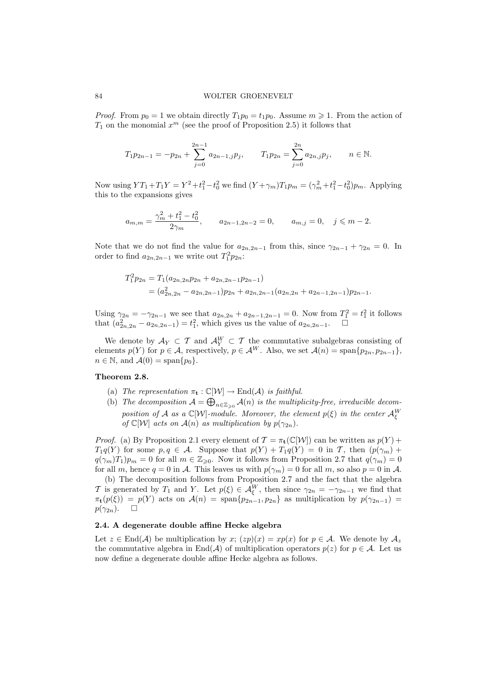*Proof.* From  $p_0 = 1$  we obtain directly  $T_1p_0 = t_1p_0$ . Assume  $m \geq 1$ . From the action of  $T_1$  on the monomial  $x^m$  (see the proof of Proposition 2.5) it follows that

$$
T_1 p_{2n-1} = -p_{2n} + \sum_{j=0}^{2n-1} a_{2n-1,j} p_j, \qquad T_1 p_{2n} = \sum_{j=0}^{2n} a_{2n,j} p_j, \qquad n \in \mathbb{N}.
$$

Now using  $YT_1 + T_1Y = Y^2 + t_1^2 - t_0^2$  we find  $(Y + \gamma_m)T_1p_m = (\gamma_m^2 + t_1^2 - t_0^2)p_m$ . Applying this to the expansions gives

$$
a_{m,m} = \frac{\gamma_m^2 + t_1^2 - t_0^2}{2\gamma_m}, \qquad a_{2n-1,2n-2} = 0, \qquad a_{m,j} = 0, \quad j \leq m-2.
$$

Note that we do not find the value for  $a_{2n,2n-1}$  from this, since  $\gamma_{2n-1} + \gamma_{2n} = 0$ . In order to find  $a_{2n,2n-1}$  we write out  $T_1^2 p_{2n}$ :

$$
T_1^2 p_{2n} = T_1(a_{2n,2n} p_{2n} + a_{2n,2n-1} p_{2n-1})
$$
  
=  $(a_{2n,2n}^2 - a_{2n,2n-1}) p_{2n} + a_{2n,2n-1} (a_{2n,2n} + a_{2n-1,2n-1}) p_{2n-1}.$ 

Using  $\gamma_{2n} = -\gamma_{2n-1}$  we see that  $a_{2n,2n} + a_{2n-1,2n-1} = 0$ . Now from  $T_1^2 = t_1^2$  it follows that  $(a_{2n,2n}^2 - a_{2n,2n-1}) = t_1^2$ , which gives us the value of  $a_{2n,2n-1}$ .  $\Box$ 

We denote by  $\mathcal{A}_Y \subset \mathcal{T}$  and  $\mathcal{A}_Y^W \subset \mathcal{T}$  the commutative subalgebras consisting of elements  $p(Y)$  for  $p \in A$ , respectively,  $p \in A^W$ . Also, we set  $\mathcal{A}(n) = \text{span}\{p_{2n}, p_{2n-1}\},$  $n \in \mathbb{N}$ , and  $\mathcal{A}(0) = \text{span}\{p_0\}.$ 

### Theorem 2.8.

- (a) The representation  $\pi_{\mathbf{t}} : \mathbb{C}[\mathcal{W}] \to \text{End}(\mathcal{A})$  is faithful.
- (b) The decomposition  $A = \bigoplus_{n \in \mathbb{Z}_{\geq 0}} A(n)$  is the multiplicity-free, irreducible decomposition of A as a  $\mathbb{C}[W]$ -module. Moreover, the element  $p(\xi)$  in the center  $\mathcal{A}_{\xi}^{W}$ of  $\mathbb{C}[\mathcal{W}]$  acts on  $\mathcal{A}(n)$  as multiplication by  $p(\gamma_{2n})$ .

*Proof.* (a) By Proposition 2.1 every element of  $\mathcal{T} = \pi_t(\mathbb{C}[\mathcal{W}])$  can be written as  $p(Y)$  +  $T_1q(Y)$  for some  $p, q \in \mathcal{A}$ . Suppose that  $p(Y) + T_1q(Y) = 0$  in T, then  $(p(\gamma_m) +$  $q(\gamma_m)T_1)p_m = 0$  for all  $m \in \mathbb{Z}_{\geqslant 0}$ . Now it follows from Proposition 2.7 that  $q(\gamma_m) = 0$ for all m, hence  $q = 0$  in A. This leaves us with  $p(\gamma_m) = 0$  for all m, so also  $p = 0$  in A.

(b) The decomposition follows from Proposition 2.7 and the fact that the algebra T is generated by  $T_1$  and Y. Let  $p(\xi) \in \mathcal{A}_{\xi}^W$ , then since  $\gamma_{2n} = -\gamma_{2n-1}$  we find that  $\pi_{\mathbf{t}}(p(\xi)) = p(Y)$  acts on  $\mathcal{A}(n) = \text{span}\{p_{2n-1}, p_{2n}\}\$ as multiplication by  $p(\gamma_{2n-1}) =$  $p(\gamma_{2n}). \square$ 

# 2.4. A degenerate double affine Hecke algebra

Let  $z \in \text{End}(\mathcal{A})$  be multiplication by  $x$ ;  $(zp)(x) = xp(x)$  for  $p \in \mathcal{A}$ . We denote by  $\mathcal{A}_z$ the commutative algebra in End(A) of multiplication operators  $p(z)$  for  $p \in A$ . Let us now define a degenerate double affine Hecke algebra as follows.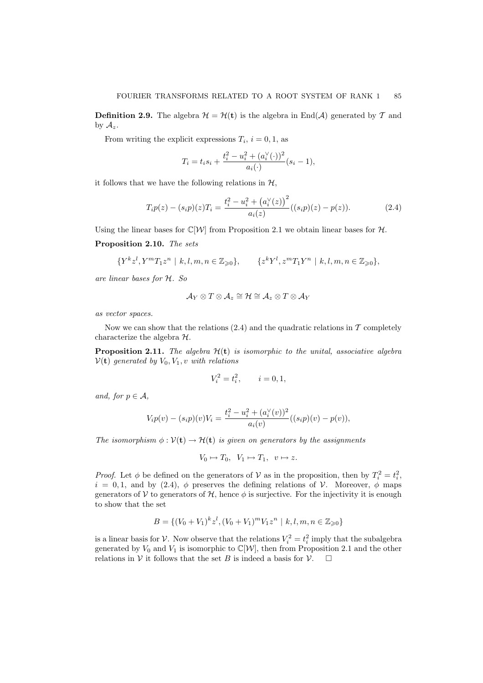**Definition 2.9.** The algebra  $\mathcal{H} = \mathcal{H}(\mathbf{t})$  is the algebra in End(A) generated by T and by  $A_z$ .

From writing the explicit expressions  $T_i$ ,  $i = 0, 1$ , as

$$
T_i = t_i s_i + \frac{t_i^2 - u_i^2 + (a_i^{\vee}(\cdot))^2}{a_i(\cdot)}(s_i - 1),
$$

it follows that we have the following relations in  $H$ ,

$$
T_i p(z) - (s_i p)(z) T_i = \frac{t_i^2 - u_i^2 + (a_i^{\vee}(z))^2}{a_i(z)}((s_i p)(z) - p(z)).
$$
\n(2.4)

Using the linear bases for  $\mathbb{C}[\mathcal{W}]$  from Proposition 2.1 we obtain linear bases for  $\mathcal{H}$ .

# Proposition 2.10. The sets

$$
\{Y^k z^l, Y^m T_1 z^n \mid k, l, m, n \in \mathbb{Z}_{\geqslant 0}\}, \qquad \{z^k Y^l, z^m T_1 Y^n \mid k, l, m, n \in \mathbb{Z}_{\geqslant 0}\},\
$$

are linear bases for H. So

$$
\mathcal{A}_Y\otimes T\otimes \mathcal{A}_z\cong \mathcal{H}\cong \mathcal{A}_z\otimes T\otimes \mathcal{A}_Y
$$

as vector spaces.

Now we can show that the relations  $(2.4)$  and the quadratic relations in T completely characterize the algebra H.

**Proposition 2.11.** The algebra  $\mathcal{H}(\mathbf{t})$  is isomorphic to the unital, associative algebra  $V(t)$  generated by  $V_0, V_1, v$  with relations

$$
V_i^2 = t_i^2, \qquad i = 0, 1,
$$

and, for  $p \in A$ .

$$
V_i p(v) - (s_i p)(v) V_i = \frac{t_i^2 - u_i^2 + (a_i^{\vee}(v))^2}{a_i(v)}((s_i p)(v) - p(v)),
$$

The isomorphism  $\phi : \mathcal{V}(\mathbf{t}) \to \mathcal{H}(\mathbf{t})$  is given on generators by the assignments

$$
V_0 \mapsto T_0, \ \ V_1 \mapsto T_1, \ \ v \mapsto z.
$$

*Proof.* Let  $\phi$  be defined on the generators of V as in the proposition, then by  $T_i^2 = t_i^2$ ,  $i = 0, 1$ , and by (2.4), φ preserves the defining relations of V. Moreover, φ maps generators of V to generators of  $H$ , hence  $\phi$  is surjective. For the injectivity it is enough to show that the set

$$
B = \{ (V_0 + V_1)^k z^l, (V_0 + V_1)^m V_1 z^n \mid k, l, m, n \in \mathbb{Z}_{\geq 0} \}
$$

is a linear basis for V. Now observe that the relations  $V_i^2 = t_i^2$  imply that the subalgebra generated by  $V_0$  and  $V_1$  is isomorphic to  $\mathbb{C}[\mathcal{W}]$ , then from Proposition 2.1 and the other relations in V it follows that the set B is indeed a basis for  $V$ .  $\Box$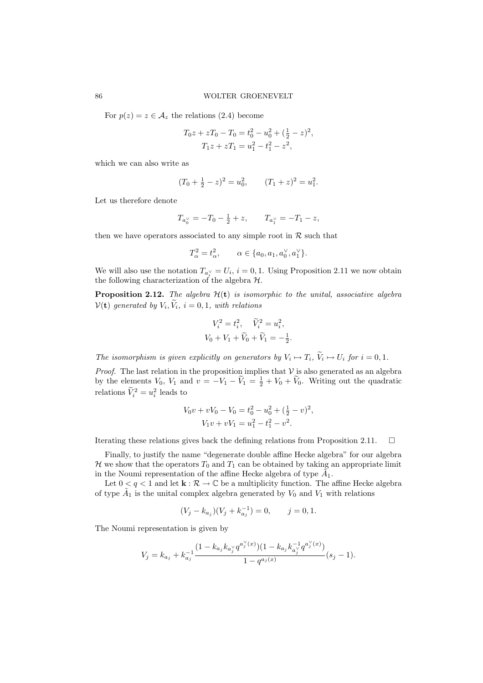For  $p(z) = z \in \mathcal{A}_z$  the relations (2.4) become

$$
T_0 z + zT_0 - T_0 = t_0^2 - u_0^2 + (\frac{1}{2} - z)^2,
$$
  
\n
$$
T_1 z + zT_1 = u_1^2 - t_1^2 - z^2,
$$

which we can also write as

$$
(T_0 + \frac{1}{2} - z)^2 = u_0^2
$$
,  $(T_1 + z)^2 = u_1^2$ .

Let us therefore denote

$$
T_{a_0^\vee}=-T_0-\tfrac{1}{2}+z,\qquad T_{a_1^\vee}=-T_1-z,
$$

then we have operators associated to any simple root in  $R$  such that

$$
T_{\alpha}^{2} = t_{\alpha}^{2}, \qquad \alpha \in \{a_{0}, a_{1}, a_{0}^{\vee}, a_{1}^{\vee}\}.
$$

We will also use the notation  $T_{a_i^{\vee}} = U_i$ ,  $i = 0, 1$ . Using Proposition 2.11 we now obtain the following characterization of the algebra  $\mathcal{H}$ .

**Proposition 2.12.** The algebra  $\mathcal{H}(\mathbf{t})$  is isomorphic to the unital, associative algebra  $\mathcal{V}(\mathbf{t})$  generated by  $V_i, V_i, i = 0, 1$ , with relations

$$
V_i^2 = t_i^2, \quad \tilde{V}_i^2 = u_i^2,
$$
  

$$
V_0 + V_1 + \tilde{V}_0 + \tilde{V}_1 = -\frac{1}{2}.
$$

The isomorphism is given explicitly on generators by  $V_i \mapsto T_i$ ,  $V_i \mapsto U_i$  for  $i = 0, 1$ .

*Proof.* The last relation in the proposition implies that  $V$  is also generated as an algebra by the elements  $V_0$ ,  $V_1$  and  $v = -V_1 - \tilde{V}_1 = \frac{1}{2} + V_0 + \tilde{V}_0$ . Writing out the quadratic relations  $\tilde{V}_i^2 = u_i^2$  leads to

$$
V_0v + vV_0 - V_0 = t_0^2 - u_0^2 + (\frac{1}{2} - v)^2,
$$
  

$$
V_1v + vV_1 = u_1^2 - t_1^2 - v^2.
$$

Iterating these relations gives back the defining relations from Proposition 2.11.  $\Box$ 

Finally, to justify the name "degenerate double affine Hecke algebra" for our algebra  $\mathcal H$  we show that the operators  $T_0$  and  $T_1$  can be obtained by taking an appropriate limit in the Noumi representation of the affine Hecke algebra of type  $\tilde{A_1}$ .

Let  $0 < q < 1$  and let  $\mathbf{k} : \mathcal{R} \to \mathbb{C}$  be a multiplicity function. The affine Hecke algebra of type  $\tilde{A}_1$  is the unital complex algebra generated by  $V_0$  and  $V_1$  with relations

$$
(V_j - k_{a_j})(V_j + k_{a_j}^{-1}) = 0, \t j = 0, 1.
$$

The Noumi representation is given by

$$
V_j = k_{a_j} + k_{a_j}^{-1} \frac{(1 - k_{a_j} k_{a_j} q^{a_j^{\vee}(x)})(1 - k_{a_j} k_{a_j}^{-1} q^{a_j^{\vee}(x)})}{1 - q^{a_j(x)}} (s_j - 1).
$$

∨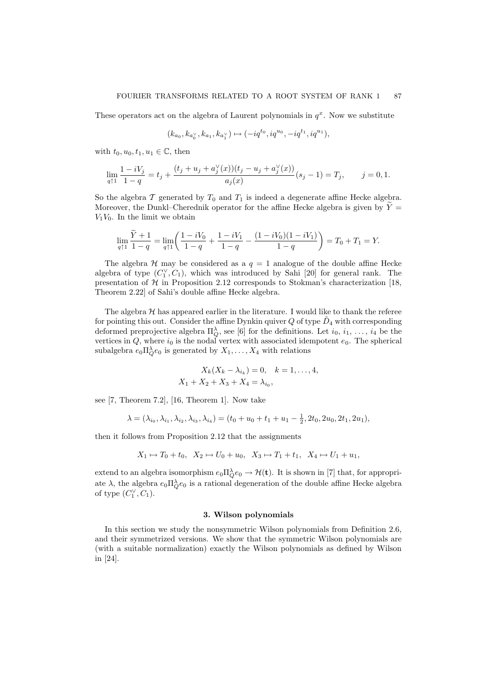These operators act on the algebra of Laurent polynomials in  $q^x$ . Now we substitute

$$
(k_{a_0}, k_{a_0^{\vee}}, k_{a_1}, k_{a_1^{\vee}}) \mapsto (-iq^{t_0}, iq^{u_0}, -iq^{t_1}, iq^{u_1}),
$$

with  $t_0, u_0, t_1, u_1 \in \mathbb{C}$ , then

$$
\lim_{q \uparrow 1} \frac{1-iV_j}{1-q} = t_j + \frac{(t_j + u_j + a_j^{\vee}(x))(t_j - u_j + a_j^{\vee}(x))}{a_j(x)}(s_j - 1) = T_j, \qquad j = 0, 1.
$$

So the algebra  $\mathcal T$  generated by  $T_0$  and  $T_1$  is indeed a degenerate affine Hecke algebra. Moreover, the Dunkl–Cherednik operator for the affine Hecke algebra is given by  $Y =$  $V_1V_0$ . In the limit we obtain

$$
\lim_{q \uparrow 1} \frac{\tilde{Y} + 1}{1 - q} = \lim_{q \uparrow 1} \left( \frac{1 - iV_0}{1 - q} + \frac{1 - iV_1}{1 - q} - \frac{(1 - iV_0)(1 - iV_1)}{1 - q} \right) = T_0 + T_1 = Y.
$$

The algebra  $\mathcal H$  may be considered as a  $q = 1$  analogue of the double affine Hecke algebra of type  $(C_1^{\vee}, C_1)$ , which was introduced by Sahi [20] for general rank. The presentation of  $H$  in Proposition 2.12 corresponds to Stokman's characterization [18, Theorem 2.22] of Sahi's double affine Hecke algebra.

The algebra  $H$  has appeared earlier in the literature. I would like to thank the referee for pointing this out. Consider the affine Dynkin quiver  $Q$  of type  $\tilde{D}_4$  with corresponding deformed preprojective algebra  $\Pi_Q^{\lambda}$ , see [6] for the definitions. Let  $i_0, i_1, \ldots, i_4$  be the vertices in  $Q$ , where  $i_0$  is the nodal vertex with associated idempotent  $e_0$ . The spherical subalgebra  $e_0 \Pi_Q^{\lambda} e_0$  is generated by  $X_1, \ldots, X_4$  with relations

$$
X_k(X_k - \lambda_{i_k}) = 0, \quad k = 1, ..., 4,
$$
  

$$
X_1 + X_2 + X_3 + X_4 = \lambda_{i_0},
$$

see [7, Theorem 7.2], [16, Theorem 1]. Now take

$$
\lambda = (\lambda_{i_0}, \lambda_{i_1}, \lambda_{i_2}, \lambda_{i_3}, \lambda_{i_4}) = (t_0 + u_0 + t_1 + u_1 - \frac{1}{2}, 2t_0, 2u_0, 2t_1, 2u_1),
$$

then it follows from Proposition 2.12 that the assignments

$$
X_1 \mapsto T_0 + t_0, \ \ X_2 \mapsto U_0 + u_0, \ \ X_3 \mapsto T_1 + t_1, \ \ X_4 \mapsto U_1 + u_1,
$$

extend to an algebra isomorphism  $e_0 \Pi_Q^{\lambda} e_0 \to H(\mathbf{t})$ . It is shown in [7] that, for appropriate  $\lambda$ , the algebra  $e_0 \Pi_Q^{\lambda} e_0$  is a rational degeneration of the double affine Hecke algebra of type  $(C_1^{\vee}, C_1)$ .

### 3. Wilson polynomials

In this section we study the nonsymmetric Wilson polynomials from Definition 2.6, and their symmetrized versions. We show that the symmetric Wilson polynomials are (with a suitable normalization) exactly the Wilson polynomials as defined by Wilson in [24].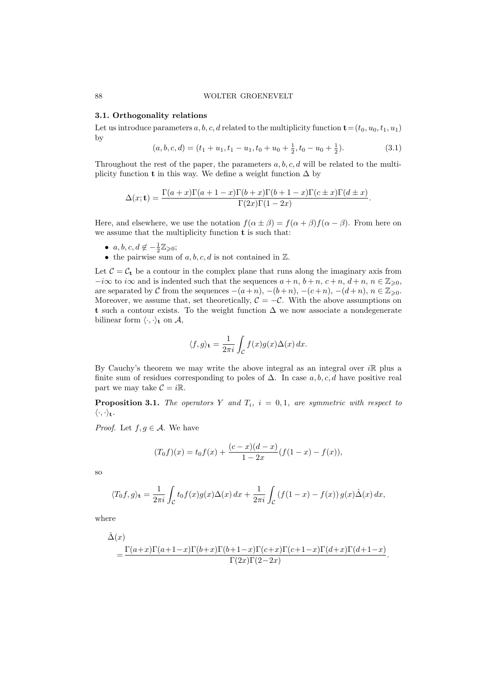### 3.1. Orthogonality relations

Let us introduce parameters a, b, c, d related to the multiplicity function  $\mathbf{t}=(t_0, u_0,t_1, u_1)$ by

$$
(a, b, c, d) = (t_1 + u_1, t_1 - u_1, t_0 + u_0 + \frac{1}{2}, t_0 - u_0 + \frac{1}{2}).
$$
\n
$$
(3.1)
$$

Throughout the rest of the paper, the parameters  $a, b, c, d$  will be related to the multiplicity function **t** in this way. We define a weight function  $\Delta$  by

$$
\Delta(x; \mathbf{t}) = \frac{\Gamma(a+x)\Gamma(a+1-x)\Gamma(b+x)\Gamma(b+1-x)\Gamma(c\pm x)\Gamma(d\pm x)}{\Gamma(2x)\Gamma(1-2x)}.
$$

Here, and elsewhere, we use the notation  $f(\alpha \pm \beta) = f(\alpha + \beta)f(\alpha - \beta)$ . From here on we assume that the multiplicity function  ${\bf t}$  is such that:

- $a, b, c, d \notin -\frac{1}{2}\mathbb{Z}_{\geqslant 0};$
- the pairwise sum of  $a, b, c, d$  is not contained in  $\mathbb{Z}$ .

Let  $C = C_t$  be a contour in the complex plane that runs along the imaginary axis from  $-i\infty$  to  $i\infty$  and is indented such that the sequences  $a + n$ ,  $b + n$ ,  $c + n$ ,  $d + n$ ,  $n \in \mathbb{Z}_{\geq 0}$ , are separated by  $\mathcal C$  from the sequences  $-(a+n),\, -(b+n),\, -(c+n),\, -(d+n),\, n\in\mathbb Z_{\geqslant 0}.$ Moreover, we assume that, set theoretically,  $\mathcal{C} = -\mathcal{C}$ . With the above assumptions on t such a contour exists. To the weight function  $\Delta$  we now associate a nondegenerate bilinear form  $\langle \cdot, \cdot \rangle_{\mathbf{t}}$  on  $\mathcal{A}$ ,

$$
\langle f, g \rangle_{\mathbf{t}} = \frac{1}{2\pi i} \int_{\mathcal{C}} f(x)g(x) \Delta(x) dx.
$$

By Cauchy's theorem we may write the above integral as an integral over  $i\mathbb{R}$  plus a finite sum of residues corresponding to poles of  $\Delta$ . In case a, b, c, d have positive real part we may take  $C = i\mathbb{R}$ .

**Proposition 3.1.** The operators Y and  $T_i$ ,  $i = 0, 1$ , are symmetric with respect to  $\langle \cdot, \cdot \rangle_{\mathbf{t}}$ .

*Proof.* Let  $f, g \in \mathcal{A}$ . We have

$$
(T_0f)(x) = t_0f(x) + \frac{(c-x)(d-x)}{1-2x}(f(1-x) - f(x)),
$$

so

$$
\langle T_0 f, g \rangle_{\mathbf{t}} = \frac{1}{2\pi i} \int_{\mathcal{C}} t_0 f(x) g(x) \Delta(x) dx + \frac{1}{2\pi i} \int_{\mathcal{C}} \left( f(1-x) - f(x) \right) g(x) \hat{\Delta}(x) dx,
$$

where

$$
\hat{\Delta}(x) = \frac{\Gamma(a+x)\Gamma(a+1-x)\Gamma(b+x)\Gamma(b+1-x)\Gamma(c+x)\Gamma(c+1-x)\Gamma(d+x)\Gamma(d+1-x)}{\Gamma(2x)\Gamma(2-2x)}.
$$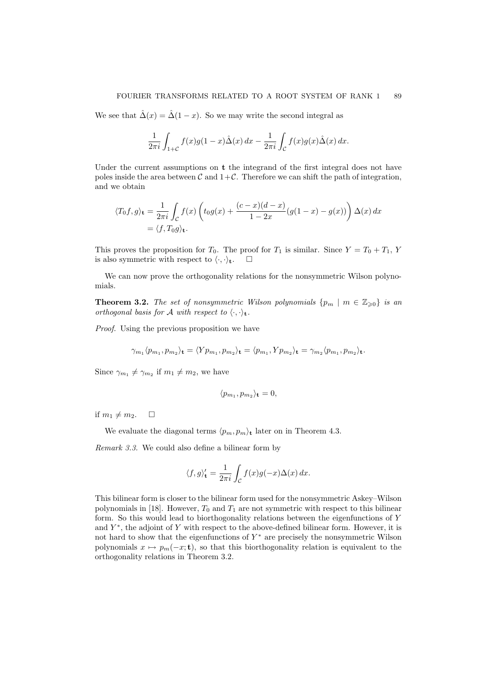We see that  $\hat{\Delta}(x) = \hat{\Delta}(1-x)$ . So we may write the second integral as

$$
\frac{1}{2\pi i} \int_{1+C} f(x)g(1-x)\hat{\Delta}(x) dx - \frac{1}{2\pi i} \int_{\mathcal{C}} f(x)g(x)\hat{\Delta}(x) dx.
$$

Under the current assumptions on **t** the integrand of the first integral does not have poles inside the area between C and  $1+\mathcal{C}$ . Therefore we can shift the path of integration, and we obtain

$$
\langle T_0 f, g \rangle_{\mathbf{t}} = \frac{1}{2\pi i} \int_{\mathcal{C}} f(x) \left( t_0 g(x) + \frac{(c - x)(d - x)}{1 - 2x} (g(1 - x) - g(x)) \right) \Delta(x) dx
$$
  
=  $\langle f, T_0 g \rangle_{\mathbf{t}}.$ 

This proves the proposition for  $T_0$ . The proof for  $T_1$  is similar. Since  $Y = T_0 + T_1$ , Y is also symmetric with respect to  $\langle \cdot, \cdot \rangle_{\mathbf{t}}$ .  $\Box$ 

We can now prove the orthogonality relations for the nonsymmetric Wilson polynomials.

**Theorem 3.2.** The set of nonsymmetric Wilson polynomials  $\{p_m \mid m \in \mathbb{Z}_{\geq 0}\}$  is an orthogonal basis for A with respect to  $\langle \cdot, \cdot \rangle_{\mathbf{t}}$ .

Proof. Using the previous proposition we have

$$
\gamma_{m_1}\langle p_{m_1}, p_{m_2}\rangle_{\mathbf{t}} = \langle Yp_{m_1}, p_{m_2}\rangle_{\mathbf{t}} = \langle p_{m_1}, Yp_{m_2}\rangle_{\mathbf{t}} = \gamma_{m_2}\langle p_{m_1}, p_{m_2}\rangle_{\mathbf{t}}.
$$

Since  $\gamma_{m_1} \neq \gamma_{m_2}$  if  $m_1 \neq m_2$ , we have

$$
\langle p_{m_1}, p_{m_2} \rangle_{\mathbf{t}} = 0,
$$

if  $m_1 \neq m_2$ .  $\Box$ 

We evaluate the diagonal terms  $\langle p_m, p_m \rangle_t$  later on in Theorem 4.3.

Remark 3.3. We could also define a bilinear form by

$$
\langle f, g \rangle_{\mathbf{t}}' = \frac{1}{2\pi i} \int_{\mathcal{C}} f(x)g(-x) \Delta(x) dx.
$$

This bilinear form is closer to the bilinear form used for the nonsymmetric Askey–Wilson polynomials in [18]. However,  $T_0$  and  $T_1$  are not symmetric with respect to this bilinear form. So this would lead to biorthogonality relations between the eigenfunctions of Y and  $Y^*$ , the adjoint of Y with respect to the above-defined bilinear form. However, it is not hard to show that the eigenfunctions of  $Y^*$  are precisely the nonsymmetric Wilson polynomials  $x \mapsto p_m(-x; \mathbf{t})$ , so that this biorthogonality relation is equivalent to the orthogonality relations in Theorem 3.2.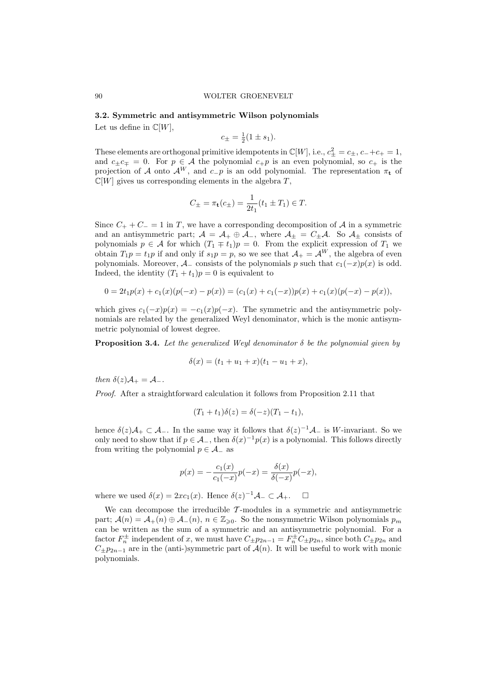#### 3.2. Symmetric and antisymmetric Wilson polynomials

Let us define in  $\mathbb{C}[W]$ ,

$$
c_{\pm} = \frac{1}{2}(1 \pm s_1).
$$

These elements are orthogonal primitive idempotents in  $\mathbb{C}[W]$ , i.e.,  $c_{\pm}^2 = c_{\pm}$ ,  $c_{-}+c_{+} = 1$ , and  $c_{\pm}c_{\mp} = 0$ . For  $p \in \mathcal{A}$  the polynomial  $c_{+}p$  is an even polynomial, so  $c_{+}$  is the projection of A onto  $\mathcal{A}^W$ , and  $c_p$  is an odd polynomial. The representation  $\pi_t$  of  $\mathbb{C}[W]$  gives us corresponding elements in the algebra  $T$ ,

$$
C_{\pm} = \pi_{\mathbf{t}}(c_{\pm}) = \frac{1}{2t_1}(t_1 \pm T_1) \in T.
$$

Since  $C_+ + C_- = 1$  in T, we have a corresponding decomposition of A in a symmetric and an antisymmetric part;  $A = A_+ \oplus A_-$ , where  $A_{\pm} = C_{\pm}A$ . So  $A_{\pm}$  consists of polynomials  $p \in \mathcal{A}$  for which  $(T_1 \mp t_1)p = 0$ . From the explicit expression of  $T_1$  we obtain  $T_1p = t_1p$  if and only if  $s_1p = p$ , so we see that  $\mathcal{A}_+ = \mathcal{A}^W$ , the algebra of even polynomials. Moreover,  $A_{-}$  consists of the polynomials p such that  $c_1(-x)p(x)$  is odd. Indeed, the identity  $(T_1 + t_1)p = 0$  is equivalent to

$$
0 = 2t_1p(x) + c_1(x)(p(-x) - p(x)) = (c_1(x) + c_1(-x))p(x) + c_1(x)(p(-x) - p(x)),
$$

which gives  $c_1(-x)p(x) = -c_1(x)p(-x)$ . The symmetric and the antisymmetric polynomials are related by the generalized Weyl denominator, which is the monic antisymmetric polynomial of lowest degree.

**Proposition 3.4.** Let the generalized Weyl denominator  $\delta$  be the polynomial given by

$$
\delta(x) = (t_1 + u_1 + x)(t_1 - u_1 + x),
$$

then  $\delta(z)A_+ = A_-$ .

Proof. After a straightforward calculation it follows from Proposition 2.11 that

$$
(T_1 + t_1)\delta(z) = \delta(-z)(T_1 - t_1),
$$

hence  $\delta(z)A_+ \subset A_-$ . In the same way it follows that  $\delta(z)^{-1}A_-$  is W-invariant. So we only need to show that if  $p \in \mathcal{A}_-$ , then  $\delta(x)^{-1}p(x)$  is a polynomial. This follows directly from writing the polynomial  $p \in \mathcal{A}_-$  as

$$
p(x) = -\frac{c_1(x)}{c_1(-x)}p(-x) = \frac{\delta(x)}{\delta(-x)}p(-x),
$$

where we used  $\delta(x) = 2xc_1(x)$ . Hence  $\delta(z)^{-1}A_{-} \subset A_{+}$ .  $\Box$ 

We can decompose the irreducible  $\mathcal{T}$ -modules in a symmetric and antisymmetric part;  $\mathcal{A}(n) = \mathcal{A}_+(n) \oplus \mathcal{A}_-(n)$ ,  $n \in \mathbb{Z}_{\geq 0}$ . So the nonsymmetric Wilson polynomials  $p_m$ can be written as the sum of a symmetric and an antisymmetric polynomial. For a factor  $F_n^{\pm}$  independent of x, we must have  $C_{\pm}p_{2n-1} = F_n^{\pm}C_{\pm}p_{2n}$ , since both  $C_{\pm}p_{2n}$  and  $C_{\pm}p_{2n-1}$  are in the (anti-)symmetric part of  $\mathcal{A}(n)$ . It will be useful to work with monic polynomials.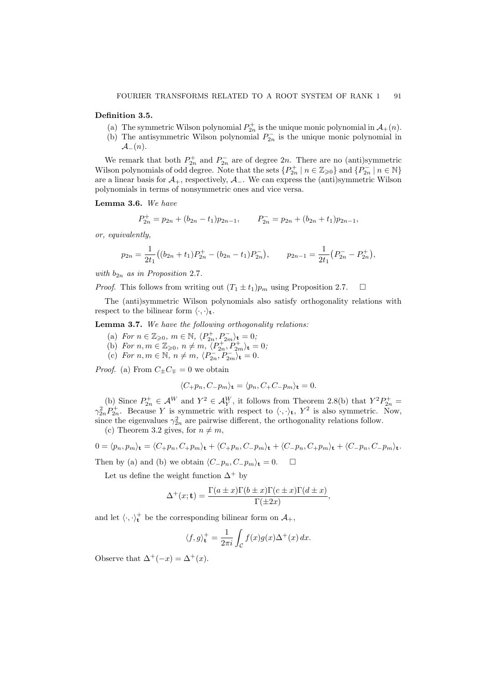#### Definition 3.5.

- (a) The symmetric Wilson polynomial  $P_{2n}^+$  is the unique monic polynomial in  $\mathcal{A}_+(n)$ .
- (b) The antisymmetric Wilson polynomial  $P_{2n}^-$  is the unique monic polynomial in  $\mathcal{A}_-(n)$ .

We remark that both  $P_{2n}^+$  and  $P_{2n}^-$  are of degree  $2n$ . There are no (anti)symmetric Wilson polynomials of odd degree. Note that the sets  $\{P_{2n}^+ \mid n \in \mathbb{Z}_{\geqslant 0}\}\$  and  $\{P_{2n}^- \mid n \in \mathbb{N}\}\$ are a linear basis for  $\mathcal{A}_+$ , respectively,  $\mathcal{A}_-$ . We can express the (anti)symmetric Wilson polynomials in terms of nonsymmetric ones and vice versa.

Lemma 3.6. We have

$$
P_{2n}^+ = p_{2n} + (b_{2n} - t_1)p_{2n-1}, \qquad P_{2n}^- = p_{2n} + (b_{2n} + t_1)p_{2n-1},
$$

or, equivalently,

$$
p_{2n} = \frac{1}{2t_1} \left( (b_{2n} + t_1) P_{2n}^+ - (b_{2n} - t_1) P_{2n}^- \right), \qquad p_{2n-1} = \frac{1}{2t_1} \left( P_{2n}^- - P_{2n}^+ \right),
$$

with  $b_{2n}$  as in Proposition 2.7.

*Proof.* This follows from writing out  $(T_1 \pm t_1)p_m$  using Proposition 2.7.  $\Box$ 

The (anti)symmetric Wilson polynomials also satisfy orthogonality relations with respect to the bilinear form  $\langle \cdot, \cdot \rangle_t$ .

Lemma 3.7. We have the following orthogonality relations:

- (a) For  $n \in \mathbb{Z}_{\geqslant 0}$ ,  $m \in \mathbb{N}$ ,  $\langle P_{2n}^+, P_{2m}^- \rangle_t = 0$ ;
- (b) For  $n, m \in \mathbb{Z}_{\geqslant 0}, n \neq m, \langle P_{2n}^+, P_{2m}^+ \rangle_t = 0;$
- (c) For  $n, m \in \mathbb{N}, n \neq m, \langle P_{2n}^-, P_{2m}^-\rangle_t = 0.$

*Proof.* (a) From  $C_{\pm}C_{\mp}=0$  we obtain

$$
\langle C_+ p_n, C_- p_m \rangle_{\mathbf{t}} = \langle p_n, C_+ C_- p_m \rangle_{\mathbf{t}} = 0.
$$

(b) Since  $P_{2n}^+ \in \mathcal{A}^W$  and  $Y^2 \in \mathcal{A}_Y^W$ , it follows from Theorem 2.8(b) that  $Y^2 P_{2n}^+$  $\gamma_{2n}^2 P_{2n}^+$ . Because Y is symmetric with respect to  $\langle \cdot, \cdot \rangle_t$ ,  $Y^2$  is also symmetric. Now, since the eigenvalues  $\gamma_{2n}^2$  are pairwise different, the orthogonality relations follow.

(c) Theorem 3.2 gives, for  $n \neq m$ ,

$$
0 = \langle p_n, p_m \rangle_{\mathbf{t}} = \langle C_+ p_n, C_+ p_m \rangle_{\mathbf{t}} + \langle C_+ p_n, C_- p_m \rangle_{\mathbf{t}} + \langle C_- p_n, C_+ p_m \rangle_{\mathbf{t}} + \langle C_- p_n, C_- p_m \rangle_{\mathbf{t}}.
$$

Then by (a) and (b) we obtain  $\langle C_{-}p_n, C_{-}p_m \rangle_t = 0.$   $\Box$ 

Let us define the weight function  $\Delta^+$  by

$$
\Delta^+(x;\mathbf{t}) = \frac{\Gamma(a \pm x)\Gamma(b \pm x)\Gamma(c \pm x)\Gamma(d \pm x)}{\Gamma(\pm 2x)},
$$

and let  $\langle \cdot, \cdot \rangle_t^+$  be the corresponding bilinear form on  $\mathcal{A}_+$ ,

$$
\langle f, g \rangle_{\mathbf{t}}^+ = \frac{1}{2\pi i} \int_{\mathcal{C}} f(x)g(x) \Delta^+(x) \, dx.
$$

Observe that  $\Delta^+(-x) = \Delta^+(x)$ .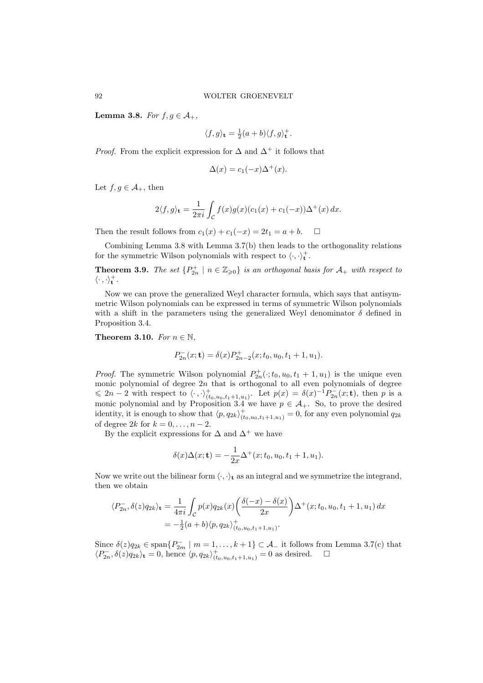Lemma 3.8. For  $f, g \in \mathcal{A}_+$ ,

$$
\langle f, g \rangle_{\mathbf{t}} = \frac{1}{2}(a+b)\langle f, g \rangle_{\mathbf{t}}^{+}.
$$

*Proof.* From the explicit expression for  $\Delta$  and  $\Delta^+$  it follows that

$$
\Delta(x) = c_1(-x)\Delta^+(x).
$$

Let  $f, g \in \mathcal{A}_+$ , then

$$
2\langle f,g\rangle_{\mathbf{t}} = \frac{1}{2\pi i} \int_{\mathcal{C}} f(x)g(x)(c_1(x) + c_1(-x))\Delta^+(x) dx.
$$

Then the result follows from  $c_1(x) + c_1(-x) = 2t_1 = a + b$ .  $\Box$ 

Combining Lemma 3.8 with Lemma 3.7(b) then leads to the orthogonality relations for the symmetric Wilson polynomials with respect to  $\langle \cdot, \cdot \rangle_t^+$ .

**Theorem 3.9.** The set  $\{P_{2n}^+\mid n\in\mathbb{Z}_{\geqslant 0}\}$  is an orthogonal basis for  $\mathcal{A}_+$  with respect to  $\langle \cdot \, , \cdot \rangle_{\mathbf{t}}^{+}$  .

Now we can prove the generalized Weyl character formula, which says that antisymmetric Wilson polynomials can be expressed in terms of symmetric Wilson polynomials with a shift in the parameters using the generalized Weyl denominator  $\delta$  defined in Proposition 3.4.

Theorem 3.10. For  $n \in \mathbb{N}$ ,

$$
P_{2n}^-(x; \mathbf{t}) = \delta(x) P_{2n-2}^+(x; t_0, u_0, t_1 + 1, u_1).
$$

*Proof.* The symmetric Wilson polynomial  $P_{2n}^{\dagger}(\cdot; t_0, u_0, t_1 + 1, u_1)$  is the unique even monic polynomial of degree  $2n$  that is orthogonal to all even polynomials of degree  $\leq 2n-2$  with respect to  $\langle \cdot, \cdot \rangle^+_{(t_0,u_0,t_1+1,u_1)}$ . Let  $p(x) = \delta(x)^{-1}P_{2n}^-(x;\mathbf{t})$ , then p is a monic polynomial and by Proposition 3.4 we have  $p \in A_+$ . So, to prove the desired identity, it is enough to show that  $\langle p, q_{2k} \rangle^+_{(t_0,u_0,t_1+1,u_1)} = 0$ , for any even polynomial  $q_{2k}$ of degree 2k for  $k = 0, \ldots, n-2$ .

By the explicit expressions for  $\Delta$  and  $\Delta^+$  we have

$$
\delta(x)\Delta(x; \mathbf{t}) = -\frac{1}{2x}\Delta^{+}(x; t_0, u_0, t_1 + 1, u_1).
$$

Now we write out the bilinear form  $\langle \cdot, \cdot \rangle_t$  as an integral and we symmetrize the integrand, then we obtain

$$
\langle P_{2n}^-, \delta(z)q_{2k}\rangle_{\mathbf{t}} = \frac{1}{4\pi i} \int_C p(x)q_{2k}(x) \left(\frac{\delta(-x) - \delta(x)}{2x}\right) \Delta^+(x; t_0, u_0, t_1 + 1, u_1) dx
$$
  
=  $-\frac{1}{2}(a+b)\langle p, q_{2k}\rangle^+(t_0, u_0, t_1 + 1, u_1)\rangle$ 

Since  $\delta(z)q_{2k} \in \text{span}\{P_{2m}^- \mid m=1,\ldots,k+1\} \subset \mathcal{A}_-$  it follows from Lemma 3.7(c) that  $\langle P_{2n}^-, \delta(z)q_{2k}\rangle_t = 0$ , hence  $\langle p, q_{2k}\rangle^+_{(t_0, u_0, t_1+1, u_1)} = 0$  as desired.  $\Box$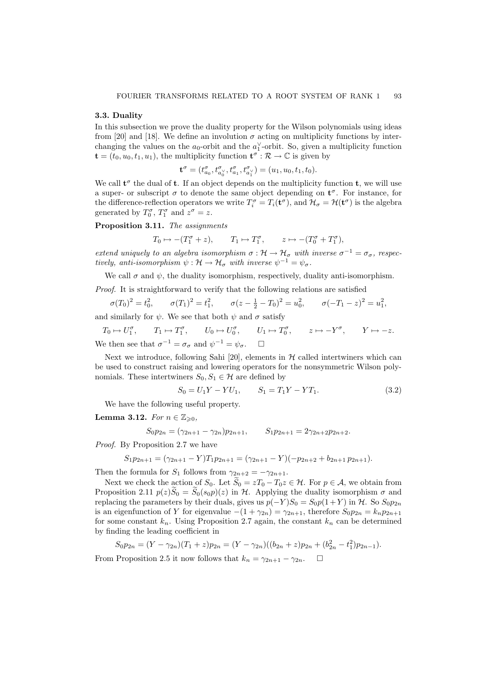#### 3.3. Duality

In this subsection we prove the duality property for the Wilson polynomials using ideas from [20] and [18]. We define an involution  $\sigma$  acting on multiplicity functions by interchanging the values on the  $a_0$ -orbit and the  $a_1^{\vee}$ -orbit. So, given a multiplicity function  $\mathbf{t} = (t_0, u_0, t_1, u_1)$ , the multiplicity function  $\mathbf{t}^{\sigma} : \mathcal{R} \to \mathbb{C}$  is given by

$$
\mathbf{t}^{\sigma} = (t^{\sigma}_{a_0}, t^{\sigma}_{a_0^\vee}, t^{\sigma}_{a_1}, t^{\sigma}_{a_1^\vee}) = (u_1, u_0, t_1, t_0).
$$

We call  $t^{\sigma}$  the dual of **t**. If an object depends on the multiplicity function **t**, we will use a super- or subscript  $\sigma$  to denote the same object depending on  $\mathbf{t}^{\sigma}$ . For instance, for the difference-reflection operators we write  $T_i^{\sigma} = T_i(\mathbf{t}^{\sigma})$ , and  $\mathcal{H}_{\sigma} = \mathcal{H}(\mathbf{t}^{\sigma})$  is the algebra generated by  $T_0^{\sigma}$ ,  $T_1^{\sigma}$  and  $z^{\sigma} = z$ .

Proposition 3.11. The assignments

$$
T_0 \mapsto -(T_1^{\sigma} + z),
$$
  $T_1 \mapsto T_1^{\sigma},$   $z \mapsto -(T_0^{\sigma} + T_1^{\sigma}),$ 

extend uniquely to an algebra isomorphism  $\sigma : \mathcal{H} \to \mathcal{H}_\sigma$  with inverse  $\sigma^{-1} = \sigma_\sigma$ , respectively, anti-isomorphism  $\psi : \mathcal{H} \to \mathcal{H}_{\sigma}$  with inverse  $\psi^{-1} = \psi_{\sigma}$ .

We call  $\sigma$  and  $\psi$ , the duality isomorphism, respectively, duality anti-isomorphism.

Proof. It is straightforward to verify that the following relations are satisfied

$$
\sigma(T_0)^2 = t_0^2, \qquad \sigma(T_1)^2 = t_1^2, \qquad \sigma(z - \frac{1}{2} - T_0)^2 = u_0^2, \qquad \sigma(-T_1 - z)^2 = u_1^2,
$$

and similarly for  $\psi$ . We see that both  $\psi$  and  $\sigma$  satisfy

 $T_0 \mapsto U_1^{\sigma}$ ,  $T_1 \mapsto T_1^{\sigma}$ ,  $U_0 \mapsto U_0^{\sigma}$ ,  $U_1 \mapsto T_0^{\sigma}$ ,  $z \mapsto -Y^{\sigma}$ ,  $Y \mapsto -z$ . We then see that  $\sigma^{-1} = \sigma_{\sigma}$  and  $\psi^{-1} = \psi_{\sigma}$ .  $\Box$ 

Next we introduce, following Sahi [20], elements in  $H$  called intertwiners which can be used to construct raising and lowering operators for the nonsymmetric Wilson polynomials. These intertwiners  $S_0, S_1 \in \mathcal{H}$  are defined by

$$
S_0 = U_1 Y - Y U_1, \qquad S_1 = T_1 Y - Y T_1. \tag{3.2}
$$

We have the following useful property.

### Lemma 3.12. For  $n \in \mathbb{Z}_{\geq 0}$ ,

$$
S_0 p_{2n} = (\gamma_{2n+1} - \gamma_{2n}) p_{2n+1}, \qquad S_1 p_{2n+1} = 2\gamma_{2n+2} p_{2n+2}.
$$

Proof. By Proposition 2.7 we have

$$
S_1 p_{2n+1} = (\gamma_{2n+1} - Y)T_1 p_{2n+1} = (\gamma_{2n+1} - Y)(-p_{2n+2} + b_{2n+1} p_{2n+1}).
$$

Then the formula for  $S_1$  follows from  $\gamma_{2n+2} = -\gamma_{2n+1}$ .

Next we check the action of  $S_0$ . Let  $\widetilde{S}_0 = zT_0 - T_0z \in \mathcal{H}$ . For  $p \in \mathcal{A}$ , we obtain from Proposition 2.11  $p(z)\tilde{S}_0 = \tilde{S}_0(s_0p)(z)$  in H. Applying the duality isomorphism  $\sigma$  and replacing the parameters by their duals, gives us  $p(-Y)S_0 = S_0p(1+Y)$  in H. So  $S_0p_{2n}$ is an eigenfunction of Y for eigenvalue  $-(1 + \gamma_{2n}) = \gamma_{2n+1}$ , therefore  $S_0 p_{2n} = k_n p_{2n+1}$ for some constant  $k_n$ . Using Proposition 2.7 again, the constant  $k_n$  can be determined by finding the leading coefficient in

$$
S_0 p_{2n} = (Y - \gamma_{2n})(T_1 + z)p_{2n} = (Y - \gamma_{2n})((b_{2n} + z)p_{2n} + (b_{2n}^2 - t_1^2)p_{2n-1}).
$$
  
From Proposition 2.5 it now follows that  $k_n = \gamma_{2n+1} - \gamma_{2n}$ .  $\square$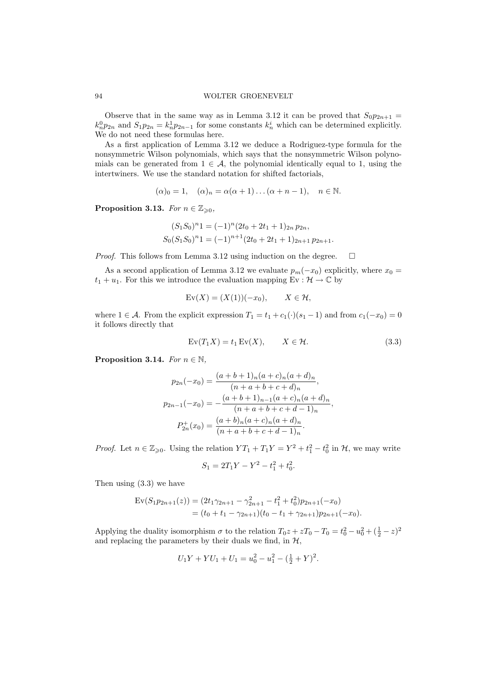Observe that in the same way as in Lemma 3.12 it can be proved that  $S_0p_{2n+1}$  =  $k_n^0 p_{2n}$  and  $S_1 p_{2n} = k_n^1 p_{2n-1}$  for some constants  $k_n^i$  which can be determined explicitly. We do not need these formulas here.

As a first application of Lemma 3.12 we deduce a Rodriguez-type formula for the nonsymmetric Wilson polynomials, which says that the nonsymmetric Wilson polynomials can be generated from  $1 \in \mathcal{A}$ , the polynomial identically equal to 1, using the intertwiners. We use the standard notation for shifted factorials,

$$
(\alpha)_0 = 1, \quad (\alpha)_n = \alpha(\alpha + 1) \dots (\alpha + n - 1), \quad n \in \mathbb{N}.
$$

Proposition 3.13. For  $n \in \mathbb{Z}_{\geqslant 0}$ ,

$$
(S_1S_0)^n1 = (-1)^n(2t_0 + 2t_1 + 1)_{2n} p_{2n},
$$
  
\n
$$
S_0(S_1S_0)^n1 = (-1)^{n+1}(2t_0 + 2t_1 + 1)_{2n+1} p_{2n+1}.
$$

*Proof.* This follows from Lemma 3.12 using induction on the degree.  $\Box$ 

As a second application of Lemma 3.12 we evaluate  $p_m(-x_0)$  explicitly, where  $x_0 =$  $t_1 + u_1$ . For this we introduce the evaluation mapping Ev :  $\mathcal{H} \to \mathbb{C}$  by

$$
\text{Ev}(X) = (X(1))(-x_0), \qquad X \in \mathcal{H},
$$

where  $1 \in \mathcal{A}$ . From the explicit expression  $T_1 = t_1 + c_1(\cdot)(s_1 - 1)$  and from  $c_1(-x_0) = 0$ it follows directly that

$$
Ev(T_1X) = t_1 Ev(X), \qquad X \in \mathcal{H}.
$$
\n(3.3)

**Proposition 3.14.** For  $n \in \mathbb{N}$ ,

$$
p_{2n}(-x_0) = \frac{(a+b+1)_n(a+c)_n(a+d)_n}{(n+a+b+c+d)_n},
$$
  
\n
$$
p_{2n-1}(-x_0) = -\frac{(a+b+1)_{n-1}(a+c)_n(a+d)_n}{(n+a+b+c+d-1)_n},
$$
  
\n
$$
P_{2n}^+(x_0) = \frac{(a+b)_n(a+c)_n(a+d)_n}{(n+a+b+c+d-1)_n}.
$$

*Proof.* Let  $n \in \mathbb{Z}_{\geqslant 0}$ . Using the relation  $YT_1 + T_1Y = Y^2 + t_1^2 - t_0^2$  in  $\mathcal{H}$ , we may write

$$
S_1 = 2T_1Y - Y^2 - t_1^2 + t_0^2.
$$

Then using (3.3) we have

$$
\begin{aligned} \text{Ev}(S_1 p_{2n+1}(z)) &= (2t_1 \gamma_{2n+1} - \gamma_{2n+1}^2 - t_1^2 + t_0^2) p_{2n+1}(-x_0) \\ &= (t_0 + t_1 - \gamma_{2n+1})(t_0 - t_1 + \gamma_{2n+1}) p_{2n+1}(-x_0). \end{aligned}
$$

Applying the duality isomorphism  $\sigma$  to the relation  $T_0 z + zT_0 - T_0 = t_0^2 - u_0^2 + (\frac{1}{2} - z)^2$ and replacing the parameters by their duals we find, in  $H$ ,

$$
U_1Y + YU_1 + U_1 = u_0^2 - u_1^2 - \left(\frac{1}{2} + Y\right)^2.
$$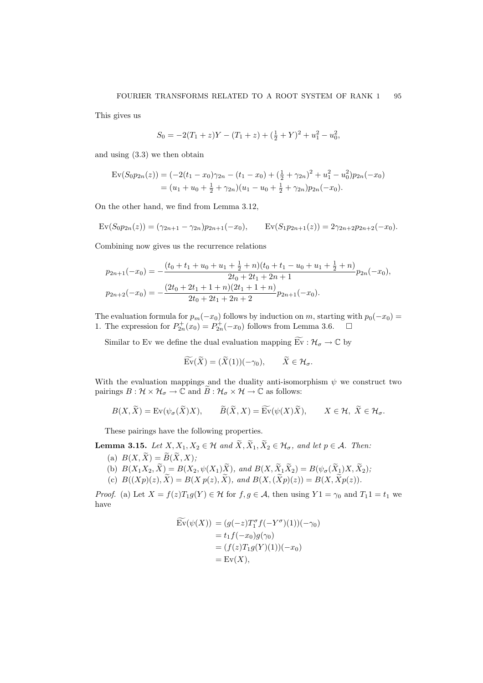This gives us

$$
S_0 = -2(T_1 + z)Y - (T_1 + z) + (\frac{1}{2} + Y)^2 + u_1^2 - u_0^2,
$$

and using (3.3) we then obtain

$$
\text{Ev}(S_0 p_{2n}(z)) = (-2(t_1 - x_0)\gamma_{2n} - (t_1 - x_0) + (\frac{1}{2} + \gamma_{2n})^2 + u_1^2 - u_0^2)p_{2n}(-x_0)
$$
  
=  $(u_1 + u_0 + \frac{1}{2} + \gamma_{2n})(u_1 - u_0 + \frac{1}{2} + \gamma_{2n})p_{2n}(-x_0).$ 

On the other hand, we find from Lemma 3.12,

$$
Ev(S_0p_{2n}(z)) = (\gamma_{2n+1} - \gamma_{2n})p_{2n+1}(-x_0), \qquad Ev(S_1p_{2n+1}(z)) = 2\gamma_{2n+2}p_{2n+2}(-x_0).
$$

Combining now gives us the recurrence relations

$$
p_{2n+1}(-x_0) = -\frac{(t_0 + t_1 + u_0 + u_1 + \frac{1}{2} + n)(t_0 + t_1 - u_0 + u_1 + \frac{1}{2} + n)}{2t_0 + 2t_1 + 2n + 1} p_{2n}(-x_0),
$$
  

$$
p_{2n+2}(-x_0) = -\frac{(2t_0 + 2t_1 + 1 + n)(2t_1 + 1 + n)}{2t_0 + 2t_1 + 2n + 2} p_{2n+1}(-x_0).
$$

The evaluation formula for  $p_m(-x_0)$  follows by induction on m, starting with  $p_0(-x_0)$  = 1. The expression for  $P_{2n}^+(x_0) = P_{2n}^+(-x_0)$  follows from Lemma 3.6.  $\Box$ 

Similar to Ev we define the dual evaluation mapping  $\widetilde{Ev}: \mathcal{H}_{\sigma} \to \mathbb{C}$  by

$$
\widetilde{\mathrm{Ev}}(\widetilde{X}) = (\widetilde{X}(1))(-\gamma_0), \qquad \widetilde{X} \in \mathcal{H}_\sigma.
$$

With the evaluation mappings and the duality anti-isomorphism  $\psi$  we construct two pairings  $B: \mathcal{H} \times \mathcal{H}_{\sigma} \to \mathbb{C}$  and  $B: \mathcal{H}_{\sigma} \times \mathcal{H} \to \mathbb{C}$  as follows:

$$
B(X, \widetilde{X}) = \text{Ev}(\psi_{\sigma}(\widetilde{X})X), \qquad \widetilde{B}(\widetilde{X}, X) = \widetilde{\text{Ev}}(\psi(X)\widetilde{X}), \qquad X \in \mathcal{H}, \ \widetilde{X} \in \mathcal{H}_{\sigma}.
$$

These pairings have the following properties.

**Lemma 3.15.** Let  $X, X_1, X_2 \in \mathcal{H}$  and  $\widetilde{X}, \widetilde{X}_1, \widetilde{X}_2 \in \mathcal{H}_{\sigma}$ , and let  $p \in \mathcal{A}$ . Then:

- (a)  $B(X, \widetilde{X}) = \widetilde{B}(\widetilde{X}, X);$
- (b)  $B(X_1X_2, \widetilde{X}) = B(X_2, \psi(X_1)\widetilde{X})$ , and  $B(X, \widetilde{X}_1\widetilde{X}_2) = B(\psi_{\sigma}(\widetilde{X}_1)X, \widetilde{X}_2);$
- (c)  $B((\overline{Xp})(z), \widetilde{X}) = B(\overline{Xp}(z), \widetilde{X})$ , and  $B(\overline{X},(\widetilde{Xp})(z)) = B(\overline{X}, \widetilde{Xp}(z)).$

*Proof.* (a) Let  $X = f(z)T_1g(Y) \in \mathcal{H}$  for  $f, g \in \mathcal{A}$ , then using  $Y1 = \gamma_0$  and  $T_11 = t_1$  we have

$$
\widetilde{\mathrm{Ev}}(\psi(X)) = (g(-z)T_1^{\sigma}f(-Y^{\sigma})(1))(-\gamma_0)
$$
  
=  $t_1f(-x_0)g(\gamma_0)$   
=  $(f(z)T_1g(Y)(1))(-x_0)$   
=  $\mathrm{Ev}(X),$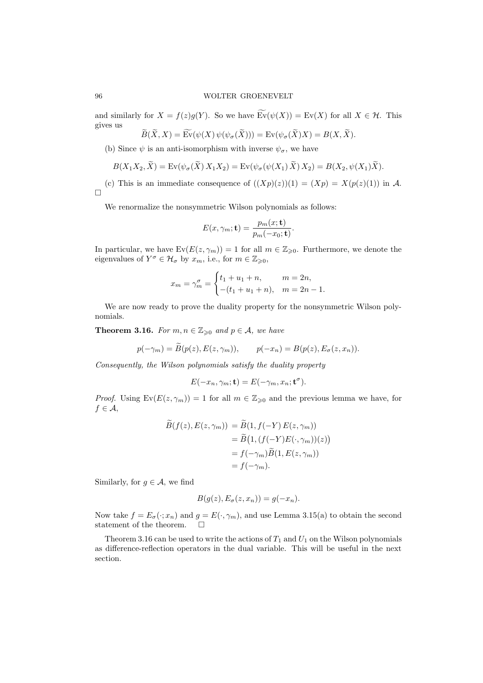and similarly for  $X = f(z)g(Y)$ . So we have  $\text{Ev}(\psi(X)) = \text{Ev}(X)$  for all  $X \in \mathcal{H}$ . This gives us  $\sim$   $\sim$  $\sim$  $\overline{a}$  $\mathbb{R}^2$ 

$$
\widetilde{B}(X,X) = \mathrm{Ev}(\psi(X)\,\psi(\psi_{\sigma}(X))) = \mathrm{Ev}(\psi_{\sigma}(X)X) = B(X,X).
$$

(b) Since  $\psi$  is an anti-isomorphism with inverse  $\psi_{\sigma}$ , we have

 $\sim$ 

 $\sim$ 

$$
B(X_1X_2, \widetilde{X}) = \mathrm{Ev}(\psi_{\sigma}(\widetilde{X}) X_1X_2) = \mathrm{Ev}(\psi_{\sigma}(\psi(X_1) \widetilde{X}) X_2) = B(X_2, \psi(X_1) \widetilde{X}).
$$

(c) This is an immediate consequence of  $((Xp)(z))(1) = (Xp) = X(p(z)(1))$  in A.  $\Box$ 

We renormalize the nonsymmetric Wilson polynomials as follows:

$$
E(x,\gamma_m; \mathbf{t}) = \frac{p_m(x; \mathbf{t})}{p_m(-x_0; \mathbf{t})}.
$$

In particular, we have  $Ev(E(z, \gamma_m)) = 1$  for all  $m \in \mathbb{Z}_{\geq 0}$ . Furthermore, we denote the eigenvalues of  $Y^{\sigma} \in \mathcal{H}_{\sigma}$  by  $x_m$ , i.e., for  $m \in \mathbb{Z}_{\geqslant 0}$ ,

$$
x_m = \gamma_m^{\sigma} = \begin{cases} t_1 + u_1 + n, & m = 2n, \\ -(t_1 + u_1 + n), & m = 2n - 1. \end{cases}
$$

We are now ready to prove the duality property for the nonsymmetric Wilson polynomials.

**Theorem 3.16.** For  $m, n \in \mathbb{Z}_{\geqslant 0}$  and  $p \in \mathcal{A}$ , we have

$$
p(-\gamma_m) = \widetilde{B}(p(z), E(z, \gamma_m)), \qquad p(-x_n) = B(p(z), E_{\sigma}(z, x_n)).
$$

Consequently, the Wilson polynomials satisfy the duality property

$$
E(-x_n, \gamma_m; \mathbf{t}) = E(-\gamma_m, x_n; \mathbf{t}^\sigma).
$$

*Proof.* Using  $Ev(E(z, \gamma_m)) = 1$  for all  $m \in \mathbb{Z}_{\geq 0}$  and the previous lemma we have, for  $f \in \mathcal{A},$ 

$$
B(f(z), E(z, \gamma_m)) = B(1, f(-Y) E(z, \gamma_m))
$$
  
=  $\widetilde{B}(1, (f(-Y)E(\cdot, \gamma_m))(z))$   
=  $f(-\gamma_m)\widetilde{B}(1, E(z, \gamma_m))$   
=  $f(-\gamma_m)$ .

Similarly, for  $g \in \mathcal{A}$ , we find

$$
B(g(z), E_{\sigma}(z, x_n)) = g(-x_n).
$$

Now take  $f = E_{\sigma}(\cdot; x_n)$  and  $g = E(\cdot, \gamma_m)$ , and use Lemma 3.15(a) to obtain the second statement of the theorem.  $\Box$ 

Theorem 3.16 can be used to write the actions of  $T_1$  and  $U_1$  on the Wilson polynomials as difference-reflection operators in the dual variable. This will be useful in the next section.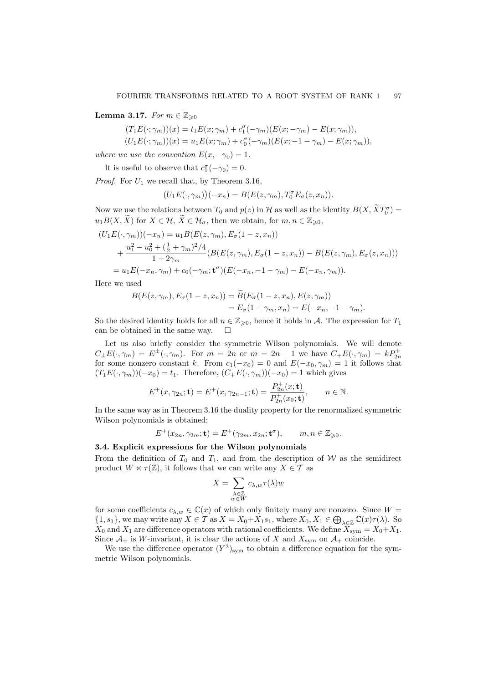Lemma 3.17. For  $m \in \mathbb{Z}_{\geqslant 0}$ 

 $(T_1E(\cdot;\gamma_m))(x) = t_1E(x;\gamma_m) + c_1^{\sigma}(-\gamma_m)(E(x;\gamma_m) - E(x;\gamma_m)),$  $(U_1E(\cdot; \gamma_m))(x) = u_1E(x; \gamma_m) + c_0^{\sigma}(-\gamma_m)(E(x; -1 - \gamma_m) - E(x; \gamma_m)),$ 

where we use the convention  $E(x, -\gamma_0) = 1$ .

It is useful to observe that  $c_1^{\sigma}(-\gamma_0) = 0$ .

*Proof.* For  $U_1$  we recall that, by Theorem 3.16,

$$
(U_1E(\cdot,\gamma_m))(-x_n) = B(E(z,\gamma_m),T_0^{\sigma}E_{\sigma}(z,x_n)).
$$

Now we use the relations between  $T_0$  and  $p(z)$  in  $\mathcal H$  as well as the identity  $B(X, \tilde{X}T_0^{\sigma}) =$  $u_1B(X,\widetilde{X})$  for  $X \in \mathcal{H}, \widetilde{X} \in \mathcal{H}_\sigma$ , then we obtain, for  $m, n \in \mathbb{Z}_{\geq 0}$ ,

$$
(U_1E(\cdot, \gamma_m))(-x_n) = u_1B(E(z, \gamma_m), E_{\sigma}(1-z, x_n))
$$
  
+ 
$$
\frac{u_1^2 - u_0^2 + (\frac{1}{2} + \gamma_m)^2/4}{1 + 2\gamma_m} (B(E(z, \gamma_m), E_{\sigma}(1-z, x_n)) - B(E(z, \gamma_m), E_{\sigma}(z, x_n)))
$$
  
= 
$$
u_1E(-x_n, \gamma_m) + c_0(-\gamma_m; \mathbf{t}^{\sigma})(E(-x_n, -1-\gamma_m) - E(-x_n, \gamma_m)).
$$

Here we used

$$
B(E(z, \gamma_m), E_{\sigma}(1-z, x_n)) = \widetilde{B}(E_{\sigma}(1-z, x_n), E(z, \gamma_m))
$$
  
= 
$$
E_{\sigma}(1+\gamma_m, x_n) = E(-x_n, -1-\gamma_m).
$$

So the desired identity holds for all  $n \in \mathbb{Z}_{\geq 0}$ , hence it holds in A. The expression for  $T_1$ can be obtained in the same way.  $\square$ 

Let us also briefly consider the symmetric Wilson polynomials. We will denote  $C_{\pm}E(\cdot,\gamma_m) = E^{\pm}(\cdot,\gamma_m)$ . For  $m = 2n$  or  $m = 2n - 1$  we have  $C_{+}E(\cdot,\gamma_m) = kP_{2n}^{+}$ for some nonzero constant k. From  $c_1(-x_0) = 0$  and  $E(-x_0, \gamma_m) = 1$  it follows that  $(T_1E(\cdot, \gamma_m))(-x_0) = t_1$ . Therefore,  $(C_+E(\cdot, \gamma_m))(-x_0) = 1$  which gives

$$
E^{+}(x, \gamma_{2n}; \mathbf{t}) = E^{+}(x, \gamma_{2n-1}; \mathbf{t}) = \frac{P_{2n}^{+}(x; \mathbf{t})}{P_{2n}^{+}(x_0; \mathbf{t})}, \qquad n \in \mathbb{N}.
$$

In the same way as in Theorem 3.16 the duality property for the renormalized symmetric Wilson polynomials is obtained;

$$
E^+(x_{2n}, \gamma_{2m}; \mathbf{t}) = E^+(\gamma_{2m}, x_{2n}; \mathbf{t}^\sigma), \qquad m, n \in \mathbb{Z}_{\geq 0}.
$$

### 3.4. Explicit expressions for the Wilson polynomials

From the definition of  $T_0$  and  $T_1$ , and from the description of W as the semidirect product  $W \ltimes \tau(\mathbb{Z})$ , it follows that we can write any  $X \in \mathcal{T}$  as

$$
X=\sum_{\substack{\lambda\in\mathbb{Z}\\\scriptstyle w\in W}}c_{\lambda,w}\tau(\lambda)w
$$

for some coefficients  $c_{\lambda,w} \in \mathbb{C}(x)$  of which only finitely many are nonzero. Since  $W =$  $\{1, s_1\}$ , we may write any  $X \in \mathcal{T}$  as  $X = X_0 + X_1 s_1$ , where  $X_0, X_1 \in \bigoplus_{\lambda \in \mathbb{Z}} \mathbb{C}(x)\tau(\lambda)$ . So  $X_0$  and  $X_1$  are difference operators with rational coefficients. We define  $X_{sym} = X_0 + X_1$ . Since  $\mathcal{A}_+$  is W-invariant, it is clear the actions of X and  $X_{\text{sym}}$  on  $\mathcal{A}_+$  coincide.

We use the difference operator  $(Y^2)_{sym}$  to obtain a difference equation for the symmetric Wilson polynomials.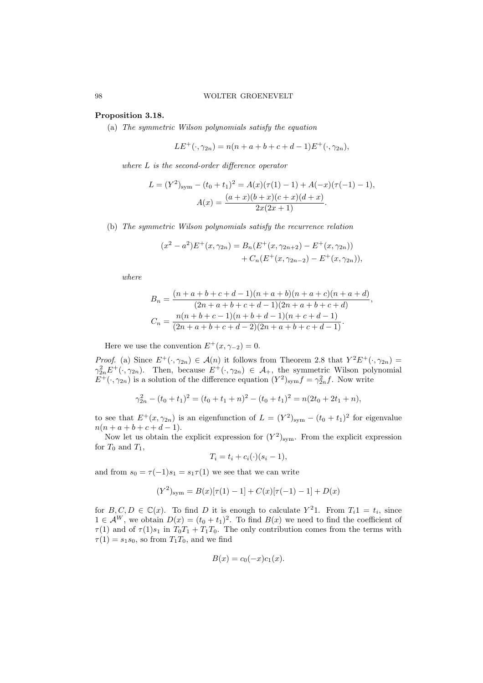### Proposition 3.18.

(a) The symmetric Wilson polynomials satisfy the equation

$$
LE^{+}(\cdot, \gamma_{2n}) = n(n+a+b+c+d-1)E^{+}(\cdot, \gamma_{2n}),
$$

where L is the second-order difference operator

$$
L = (Y^2)_{\text{sym}} - (t_0 + t_1)^2 = A(x)(\tau(1) - 1) + A(-x)(\tau(-1) - 1),
$$

$$
A(x) = \frac{(a+x)(b+x)(c+x)(d+x)}{2x(2x+1)}.
$$

(b) The symmetric Wilson polynomials satisfy the recurrence relation

$$
(x^{2} - a^{2})E^{+}(x, \gamma_{2n}) = B_{n}(E^{+}(x, \gamma_{2n+2}) - E^{+}(x, \gamma_{2n})) + C_{n}(E^{+}(x, \gamma_{2n-2}) - E^{+}(x, \gamma_{2n})),
$$

where

$$
B_n = \frac{(n+a+b+c+d-1)(n+a+b)(n+a+c)(n+a+d)}{(2n+a+b+c+d-1)(2n+a+b+c+d)}
$$
  
\n
$$
C_n = \frac{n(n+b+c-1)(n+b+d-1)(n+c+d-1)}{(2n+a+b+c+d-2)(2n+a+b+c+d-1)}.
$$

,

Here we use the convention  $E^+(x, \gamma_{-2}) = 0$ .

*Proof.* (a) Since  $E^+(\cdot, \gamma_{2n}) \in \mathcal{A}(n)$  it follows from Theorem 2.8 that  $Y^2E^+(\cdot, \gamma_{2n}) =$  $\gamma_{2n}^2 E^+(\cdot, \gamma_{2n})$ . Then, because  $E^+(\cdot, \gamma_{2n}) \in \mathcal{A}_+$ , the symmetric Wilson polynomial  $E^+(\cdot, \gamma_{2n})$  is a solution of the difference equation  $(Y^2)_{sym} f = \gamma_{2n}^2 f$ . Now write

$$
\gamma_{2n}^2 - (t_0 + t_1)^2 = (t_0 + t_1 + n)^2 - (t_0 + t_1)^2 = n(2t_0 + 2t_1 + n),
$$

to see that  $E^+(x, \gamma_{2n})$  is an eigenfunction of  $L = (Y^2)_{sym} - (t_0 + t_1)^2$  for eigenvalue  $n(n+a+b+c+d-1).$ 

Now let us obtain the explicit expression for  $(Y^2)_{sym}$ . From the explicit expression for  $T_0$  and  $T_1$ ,

$$
T_i = t_i + c_i(\cdot)(s_i - 1),
$$

and from  $s_0 = \tau(-1)s_1 = s_1\tau(1)$  we see that we can write

$$
(Y^2)_{\text{sym}} = B(x)[\tau(1) - 1] + C(x)[\tau(-1) - 1] + D(x)
$$

for  $B, C, D \in \mathbb{C}(x)$ . To find D it is enough to calculate  $Y^21$ . From  $T_i1 = t_i$ , since  $1 \in \mathcal{A}^W$ , we obtain  $D(x) = (t_0 + t_1)^2$ . To find  $B(x)$  we need to find the coefficient of  $\tau(1)$  and of  $\tau(1)s_1$  in  $T_0T_1 + T_1T_0$ . The only contribution comes from the terms with  $\tau(1) = s_1s_0$ , so from  $T_1T_0$ , and we find

$$
B(x) = c_0(-x)c_1(x).
$$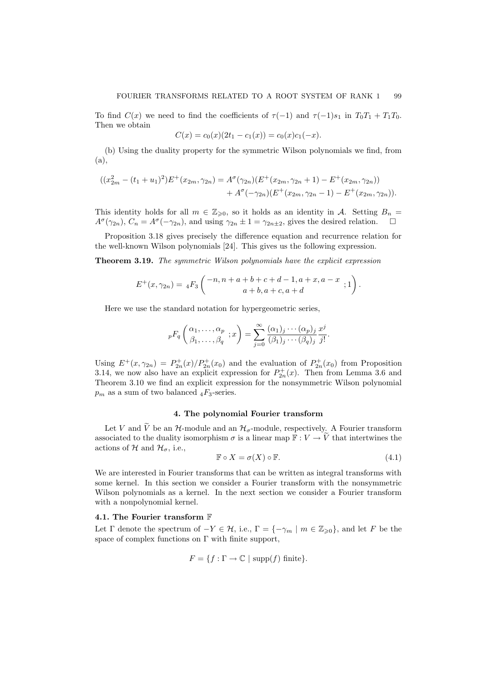To find  $C(x)$  we need to find the coefficients of  $\tau(-1)$  and  $\tau(-1)s_1$  in  $T_0T_1 + T_1T_0$ . Then we obtain

$$
C(x) = c_0(x)(2t_1 - c_1(x)) = c_0(x)c_1(-x).
$$

(b) Using the duality property for the symmetric Wilson polynomials we find, from (a),

$$
((x_{2m}^2 - (t_1 + u_1)^2)E^+(x_{2m}, \gamma_{2n}) = A^{\sigma}(\gamma_{2n})(E^+(x_{2m}, \gamma_{2n} + 1) - E^+(x_{2m}, \gamma_{2n}))
$$
  
+  $A^{\sigma}(-\gamma_{2n})(E^+(x_{2m}, \gamma_{2n} - 1) - E^+(x_{2m}, \gamma_{2n})).$ 

This identity holds for all  $m \in \mathbb{Z}_{\geqslant 0}$ , so it holds as an identity in A. Setting  $B_n =$  $A^{\sigma}(\gamma_{2n}), C_n = A^{\sigma}(-\gamma_{2n}),$  and using  $\gamma_{2n} \pm 1 = \gamma_{2n+2}$ , gives the desired relation.  $\square$ 

Proposition 3.18 gives precisely the difference equation and recurrence relation for the well-known Wilson polynomials [24]. This gives us the following expression.

Theorem 3.19. The symmetric Wilson polynomials have the explicit expression

$$
E^+(x, \gamma_{2n}) = {}_4F_3 \left( \begin{matrix} -n, n+a+b+c+d-1, a+x, a-x \\ a+b, a+c, a+d \end{matrix}; 1 \right).
$$

Here we use the standard notation for hypergeometric series,

$$
{}_{p}F_{q}\left(\begin{matrix}\alpha_{1},\ldots,\alpha_{p}\\ \beta_{1},\ldots,\beta_{q}\end{matrix};x\right)=\sum_{j=0}^{\infty}\frac{(\alpha_{1})_{j}\cdots(\alpha_{p})_{j}}{(\beta_{1})_{j}\cdots(\beta_{q})_{j}}\frac{x^{j}}{j!}.
$$

Using  $E^+(x, \gamma_{2n}) = P_{2n}^+(x)/P_{2n}^+(x_0)$  and the evaluation of  $P_{2n}^+(x_0)$  from Proposition 3.14, we now also have an explicit expression for  $P_{2n}^+(x)$ . Then from Lemma 3.6 and Theorem 3.10 we find an explicit expression for the nonsymmetric Wilson polynomial  $p_m$  as a sum of two balanced  $_4F_3$ -series.

# 4. The polynomial Fourier transform

Let V and  $\widetilde{V}$  be an  $\mathcal{H}$ -module and an  $\mathcal{H}_{\sigma}$ -module, respectively. A Fourier transform associated to the duality isomorphism  $\sigma$  is a linear map  $\mathbb{F}: V \to \widetilde{V}$  that intertwines the actions of H and  $\mathcal{H}_{\sigma}$ , i.e.,

$$
\mathbb{F} \circ X = \sigma(X) \circ \mathbb{F}.\tag{4.1}
$$

We are interested in Fourier transforms that can be written as integral transforms with some kernel. In this section we consider a Fourier transform with the nonsymmetric Wilson polynomials as a kernel. In the next section we consider a Fourier transform with a nonpolynomial kernel.

#### 4.1. The Fourier transform F

Let  $\Gamma$  denote the spectrum of  $-Y \in \mathcal{H}$ , i.e.,  $\Gamma = \{-\gamma_m \mid m \in \mathbb{Z}_{\geq 0}\}$ , and let F be the space of complex functions on  $\Gamma$  with finite support,

$$
F = \{ f : \Gamma \to \mathbb{C} \mid \text{supp}(f) \text{ finite} \}.
$$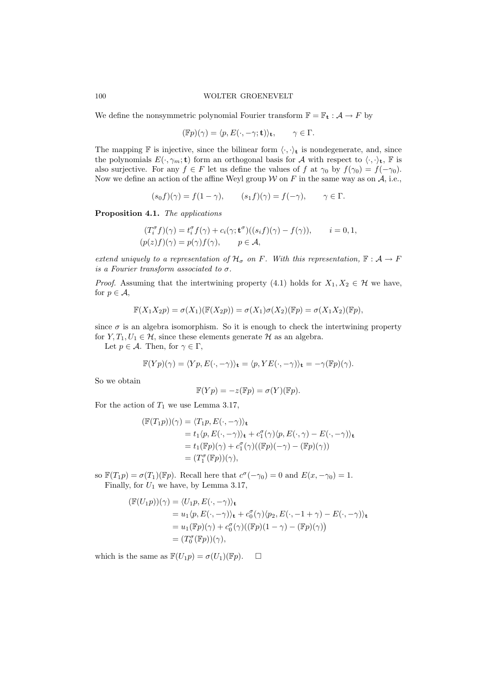We define the nonsymmetric polynomial Fourier transform  $\mathbb{F} = \mathbb{F}_t : A \to F$  by

$$
(\mathbb{F}p)(\gamma) = \langle p, E(\cdot, -\gamma; \mathbf{t}) \rangle_{\mathbf{t}}, \qquad \gamma \in \Gamma.
$$

The mapping  $\mathbb F$  is injective, since the bilinear form  $\langle \cdot, \cdot \rangle_{\mathbf t}$  is nondegenerate, and, since the polynomials  $E(\cdot, \gamma_m; \mathbf{t})$  form an orthogonal basis for A with respect to  $\langle \cdot, \cdot \rangle_{\mathbf{t}}$ , F is also surjective. For any  $f \in F$  let us define the values of f at  $\gamma_0$  by  $f(\gamma_0) = f(-\gamma_0)$ . Now we define an action of the affine Weyl group  $W$  on F in the same way as on  $A$ , i.e.,

$$
(s_0 f)(\gamma) = f(1 - \gamma), \qquad (s_1 f)(\gamma) = f(-\gamma), \qquad \gamma \in \Gamma.
$$

Proposition 4.1. The applications

$$
(T_i^{\sigma} f)(\gamma) = t_i^{\sigma} f(\gamma) + c_i(\gamma; \mathbf{t}^{\sigma})((s_i f)(\gamma) - f(\gamma)), \qquad i = 0, 1,
$$
  
\n
$$
(p(z) f)(\gamma) = p(\gamma) f(\gamma), \qquad p \in \mathcal{A},
$$

extend uniquely to a representation of  $\mathcal{H}_{\sigma}$  on F. With this representation,  $\mathbb{F} : \mathcal{A} \to F$ is a Fourier transform associated to  $\sigma$ .

*Proof.* Assuming that the intertwining property (4.1) holds for  $X_1, X_2 \in \mathcal{H}$  we have, for  $p \in \mathcal{A}$ ,

$$
\mathbb{F}(X_1X_2p) = \sigma(X_1)(\mathbb{F}(X_2p)) = \sigma(X_1)\sigma(X_2)(\mathbb{F}p) = \sigma(X_1X_2)(\mathbb{F}p),
$$

since  $\sigma$  is an algebra isomorphism. So it is enough to check the intertwining property for  $Y, T_1, U_1 \in \mathcal{H}$ , since these elements generate  $\mathcal{H}$  as an algebra.

Let  $p \in \mathcal{A}$ . Then, for  $\gamma \in \Gamma$ ,

$$
\mathbb{F}(Yp)(\gamma) = \langle Yp, E(\cdot, -\gamma) \rangle_{\mathbf{t}} = \langle p, YE(\cdot, -\gamma) \rangle_{\mathbf{t}} = -\gamma(\mathbb{F}p)(\gamma).
$$

So we obtain

$$
\mathbb{F}(Yp) = -z(\mathbb{F}p) = \sigma(Y)(\mathbb{F}p).
$$

For the action of  $T_1$  we use Lemma 3.17,

$$
(\mathbb{F}(T_1p))(\gamma) = \langle T_1p, E(\cdot, -\gamma) \rangle_t
$$
  
=  $t_1 \langle p, E(\cdot, -\gamma) \rangle_t + c_1^{\sigma}(\gamma) \langle p, E(\cdot, \gamma) - E(\cdot, -\gamma) \rangle_t$   
=  $t_1(\mathbb{F}p)(\gamma) + c_1^{\sigma}(\gamma)((\mathbb{F}p)(-\gamma) - (\mathbb{F}p)(\gamma))$   
=  $(T_1^{\sigma}(\mathbb{F}p))(\gamma),$ 

so  $\mathbb{F}(T_1p) = \sigma(T_1)(\mathbb{F}p)$ . Recall here that  $c^{\sigma}(-\gamma_0) = 0$  and  $E(x, -\gamma_0) = 1$ . Finally, for  $U_1$  we have, by Lemma 3.17,

$$
\begin{aligned} (\mathbb{F}(U_1p))(\gamma) &= \langle U_1p, E(\cdot, -\gamma) \rangle_{\mathbf{t}} \\ &= u_1 \langle p, E(\cdot, -\gamma) \rangle_{\mathbf{t}} + c_0^{\sigma}(\gamma) \langle p_2, E(\cdot, -1 + \gamma) - E(\cdot, -\gamma) \rangle_{\mathbf{t}} \\ &= u_1(\mathbb{F}p)(\gamma) + c_0^{\sigma}(\gamma) ((\mathbb{F}p)(1 - \gamma) - (\mathbb{F}p)(\gamma)) \\ &= (T_0^{\sigma}(\mathbb{F}p))(\gamma), \end{aligned}
$$

which is the same as  $\mathbb{F}(U_1p) = \sigma(U_1)(\mathbb{F}p)$ .  $\Box$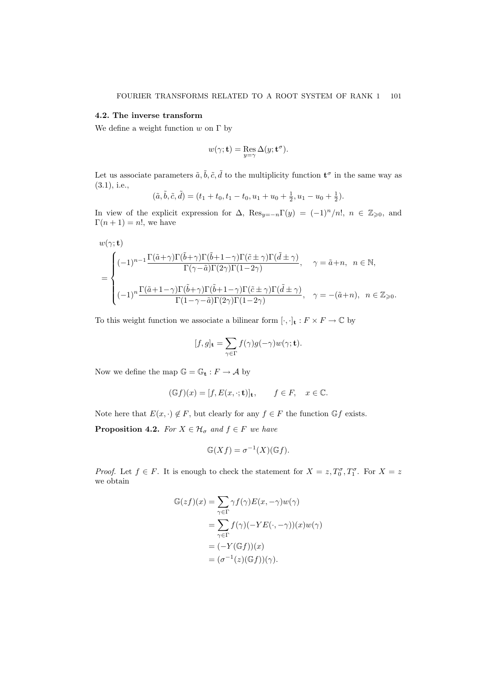#### 4.2. The inverse transform

We define a weight function  $w$  on  $\Gamma$  by

$$
w(\gamma;\mathbf{t})=\operatornamewithlimits{Res}_{y=\gamma}\Delta(y;\mathbf{t}^\sigma).
$$

Let us associate parameters  $\tilde{a}, \tilde{b}, \tilde{c}, \tilde{d}$  to the multiplicity function  $\mathbf{t}^{\sigma}$  in the same way as (3.1), i.e.,

$$
(\tilde{a}, \tilde{b}, \tilde{c}, \tilde{d}) = (t_1 + t_0, t_1 - t_0, u_1 + u_0 + \frac{1}{2}, u_1 - u_0 + \frac{1}{2}).
$$

In view of the explicit expression for  $\Delta$ ,  $\text{Res}_{y=-n}\Gamma(y) = (-1)^n/n!$ ,  $n \in \mathbb{Z}_{\geqslant 0}$ , and  $\Gamma(n+1) = n!$ , we have

$$
w(\gamma; \mathbf{t})
$$
\n
$$
= \begin{cases}\n(-1)^{n-1} \frac{\Gamma(\tilde{a}+\gamma)\Gamma(\tilde{b}+\gamma)\Gamma(\tilde{b}+1-\gamma)\Gamma(\tilde{c}\pm\gamma)\Gamma(\tilde{d}\pm\gamma)}{\Gamma(\gamma-\tilde{a})\Gamma(2\gamma)\Gamma(1-2\gamma)}, & \gamma = \tilde{a}+n, \ n \in \mathbb{N}, \\
(-1)^n \frac{\Gamma(\tilde{a}+1-\gamma)\Gamma(\tilde{b}+\gamma)\Gamma(\tilde{b}+1-\gamma)\Gamma(\tilde{c}\pm\gamma)\Gamma(\tilde{d}\pm\gamma)}{\Gamma(1-\gamma-\tilde{a})\Gamma(2\gamma)\Gamma(1-2\gamma)}, & \gamma = -(\tilde{a}+n), \ n \in \mathbb{Z}_{\geq 0}.\n\end{cases}
$$

To this weight function we associate a bilinear form  $[\cdot, \cdot]_t : F \times F \to \mathbb{C}$  by

$$
[f,g]_{\mathbf{t}} = \sum_{\gamma \in \Gamma} f(\gamma)g(-\gamma)w(\gamma; \mathbf{t}).
$$

Now we define the map  $\mathbb{G} = \mathbb{G}_t : F \to \mathcal{A}$  by

$$
(\mathbb{G}f)(x) = [f, E(x, \cdot; \mathbf{t})]_{\mathbf{t}}, \qquad f \in F, \quad x \in \mathbb{C}.
$$

Note here that  $E(x, \cdot) \notin F$ , but clearly for any  $f \in F$  the function  $\mathbb{G} f$  exists.

**Proposition 4.2.** For  $X \in \mathcal{H}_{\sigma}$  and  $f \in F$  we have

$$
\mathbb{G}(Xf) = \sigma^{-1}(X)(\mathbb{G}f).
$$

*Proof.* Let  $f \in F$ . It is enough to check the statement for  $X = z$ ,  $T_0^{\sigma}$ ,  $T_1^{\sigma}$ . For  $X = z$ we obtain

$$
\mathbb{G}(zf)(x) = \sum_{\gamma \in \Gamma} \gamma f(\gamma) E(x, -\gamma) w(\gamma)
$$
  
= 
$$
\sum_{\gamma \in \Gamma} f(\gamma)(-YE(\cdot, -\gamma))(x) w(\gamma)
$$
  
= 
$$
(-Y(\mathbb{G}f))(x)
$$
  
= 
$$
(\sigma^{-1}(z)(\mathbb{G}f))(\gamma).
$$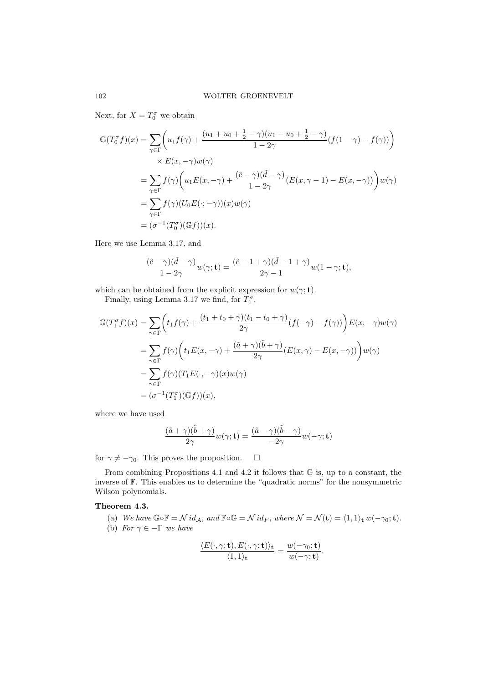Next, for  $X = T_0^{\sigma}$  we obtain

$$
\mathbb{G}(T_0^{\sigma}f)(x) = \sum_{\gamma \in \Gamma} \left( u_1 f(\gamma) + \frac{(u_1 + u_0 + \frac{1}{2} - \gamma)(u_1 - u_0 + \frac{1}{2} - \gamma)}{1 - 2\gamma} (f(1 - \gamma) - f(\gamma)) \right)
$$
  
\n
$$
\times E(x, -\gamma)w(\gamma)
$$
  
\n
$$
= \sum_{\gamma \in \Gamma} f(\gamma) \left( u_1 E(x, -\gamma) + \frac{(\tilde{c} - \gamma)(\tilde{d} - \gamma)}{1 - 2\gamma} (E(x, \gamma - 1) - E(x, -\gamma)) \right) w(\gamma)
$$
  
\n
$$
= \sum_{\gamma \in \Gamma} f(\gamma) (U_0 E(\cdot; -\gamma))(x)w(\gamma)
$$
  
\n
$$
= (\sigma^{-1}(T_0^{\sigma})(\mathbb{G}f))(x).
$$

Here we use Lemma 3.17, and

$$
\frac{(\tilde{c}-\gamma)(\tilde{d}-\gamma)}{1-2\gamma}w(\gamma;\mathbf{t})=\frac{(\tilde{c}-1+\gamma)(\tilde{d}-1+\gamma)}{2\gamma-1}w(1-\gamma;\mathbf{t}),
$$

which can be obtained from the explicit expression for  $w(\gamma; \mathbf{t})$ .

Finally, using Lemma 3.17 we find, for  $T_1^{\sigma}$ ,

$$
\mathbb{G}(T_1^{\sigma}f)(x) = \sum_{\gamma \in \Gamma} \left( t_1 f(\gamma) + \frac{(t_1 + t_0 + \gamma)(t_1 - t_0 + \gamma)}{2\gamma} (f(-\gamma) - f(\gamma)) \right) E(x, -\gamma) w(\gamma)
$$
  
\n
$$
= \sum_{\gamma \in \Gamma} f(\gamma) \left( t_1 E(x, -\gamma) + \frac{(\tilde{a} + \gamma)(\tilde{b} + \gamma)}{2\gamma} (E(x, \gamma) - E(x, -\gamma)) \right) w(\gamma)
$$
  
\n
$$
= \sum_{\gamma \in \Gamma} f(\gamma) (T_1 E(\cdot, -\gamma)(x) w(\gamma)
$$
  
\n
$$
= (\sigma^{-1} (T_1^{\sigma})(\mathbb{G}f))(x),
$$

where we have used

$$
\frac{(\tilde{a} + \gamma)(\tilde{b} + \gamma)}{2\gamma}w(\gamma; \mathbf{t}) = \frac{(\tilde{a} - \gamma)(\tilde{b} - \gamma)}{-2\gamma}w(-\gamma; \mathbf{t})
$$

for  $\gamma \neq -\gamma_0$ . This proves the proposition.  $\Box$ 

From combining Propositions 4.1 and 4.2 it follows that G is, up to a constant, the inverse of F. This enables us to determine the "quadratic norms" for the nonsymmetric Wilson polynomials.

# Theorem 4.3.

(a) We have  $\mathbb{G} \circ \mathbb{F} = \mathcal{N} id_A$ , and  $\mathbb{F} \circ \mathbb{G} = \mathcal{N} id_F$ , where  $\mathcal{N} = \mathcal{N}(\mathbf{t}) = \langle 1, 1 \rangle_{\mathbf{t}} w(-\gamma_0; \mathbf{t}).$ (b) For  $\gamma \in -\Gamma$  we have

$$
\frac{\langle E(\cdot,\gamma; \mathbf{t}), E(\cdot,\gamma; \mathbf{t}) \rangle_{\mathbf{t}}}{\langle 1,1 \rangle_{\mathbf{t}}} = \frac{w(-\gamma_0; \mathbf{t})}{w(-\gamma; \mathbf{t})}.
$$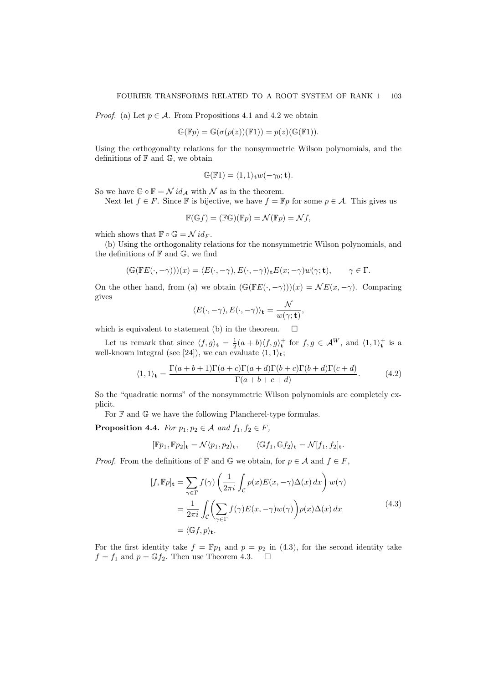*Proof.* (a) Let  $p \in A$ . From Propositions 4.1 and 4.2 we obtain

$$
\mathbb{G}(\mathbb{F}p) = \mathbb{G}(\sigma(p(z))(\mathbb{F}1)) = p(z)(\mathbb{G}(\mathbb{F}1)).
$$

Using the orthogonality relations for the nonsymmetric Wilson polynomials, and the definitions of  $\mathbb F$  and  $\mathbb G$ , we obtain

$$
\mathbb{G}(\mathbb{F}1) = \langle 1, 1 \rangle_{\mathbf{t}} w(-\gamma_0; \mathbf{t}).
$$

So we have  $\mathbb{G} \circ \mathbb{F} = \mathcal{N} id_{\mathcal{A}}$  with  $\mathcal{N}$  as in the theorem.

Next let  $f \in F$ . Since F is bijective, we have  $f = \mathbb{F}p$  for some  $p \in A$ . This gives us

$$
\mathbb{F}(\mathbb{G}f) = (\mathbb{F}\mathbb{G})(\mathbb{F}p) = \mathcal{N}(\mathbb{F}p) = \mathcal{N}f,
$$

which shows that  $\mathbb{F} \circ \mathbb{G} = \mathcal{N} id_F$ .

(b) Using the orthogonality relations for the nonsymmetric Wilson polynomials, and the definitions of  $\mathbb F$  and  $\mathbb G$ , we find

$$
(\mathbb{G}(\mathbb{F} E(\cdot,-\gamma)))(x)=\langle E(\cdot,-\gamma), E(\cdot,-\gamma)\rangle_{\mathbf{t}} E(x;-\gamma)w(\gamma;\mathbf{t}), \qquad \gamma\in \Gamma.
$$

On the other hand, from (a) we obtain  $(\mathbb{G}(FE(\cdot,-\gamma)))(x) = \mathcal{NE}(x,-\gamma)$ . Comparing gives

$$
\langle E(\cdot, -\gamma), E(\cdot, -\gamma) \rangle_{\mathbf{t}} = \frac{\mathcal{N}}{w(\gamma; \mathbf{t})},
$$

which is equivalent to statement (b) in the theorem.  $\Box$ 

Let us remark that since  $\langle f, g \rangle_t = \frac{1}{2}(a+b)\langle f, g \rangle_t^+$  for  $f, g \in \mathcal{A}^W$ , and  $\langle 1, 1 \rangle_t^+$  is a well-known integral (see [24]), we can evaluate  $\langle 1, 1 \rangle_{\mathbf{t}}$ ;

$$
\langle 1,1\rangle_{\mathbf{t}} = \frac{\Gamma(a+b+1)\Gamma(a+c)\Gamma(a+d)\Gamma(b+c)\Gamma(b+d)\Gamma(c+d)}{\Gamma(a+b+c+d)}.\tag{4.2}
$$

So the "quadratic norms" of the nonsymmetric Wilson polynomials are completely explicit.

For  $\mathbb F$  and  $\mathbb G$  we have the following Plancherel-type formulas.

**Proposition 4.4.** For  $p_1, p_2 \in A$  and  $f_1, f_2 \in F$ ,

$$
[\mathbb{F}p_1, \mathbb{F}p_2]_{\mathbf{t}} = \mathcal{N}\langle p_1, p_2 \rangle_{\mathbf{t}}, \qquad \langle \mathbb{G}f_1, \mathbb{G}f_2 \rangle_{\mathbf{t}} = \mathcal{N}[f_1, f_2]_{\mathbf{t}}.
$$

*Proof.* From the definitions of  $\mathbb{F}$  and  $\mathbb{G}$  we obtain, for  $p \in \mathcal{A}$  and  $f \in F$ ,

$$
[f, \mathbb{F}p]_{\mathbf{t}} = \sum_{\gamma \in \Gamma} f(\gamma) \left( \frac{1}{2\pi i} \int_{\mathcal{C}} p(x) E(x, -\gamma) \Delta(x) dx \right) w(\gamma)
$$
  

$$
= \frac{1}{2\pi i} \int_{\mathcal{C}} \left( \sum_{\gamma \in \Gamma} f(\gamma) E(x, -\gamma) w(\gamma) \right) p(x) \Delta(x) dx
$$
  

$$
= \langle \mathbb{G}f, p \rangle_{\mathbf{t}}.
$$
 (4.3)

For the first identity take  $f = \mathbb{F}p_1$  and  $p = p_2$  in (4.3), for the second identity take  $f = f_1$  and  $p = \mathbb{G}f_2$ . Then use Theorem 4.3.  $\Box$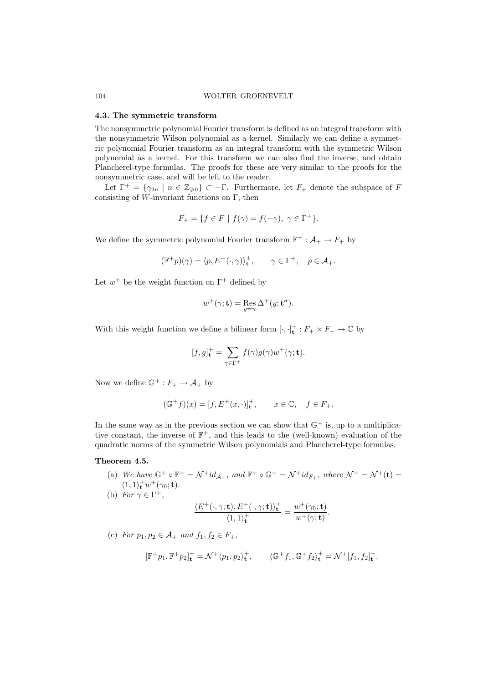#### 4.3. The symmetric transform

The nonsymmetric polynomial Fourier transform is defined as an integral transform with the nonsymmetric Wilson polynomial as a kernel. Similarly we can define a symmetric polynomial Fourier transform as an integral transform with the symmetric Wilson polynomial as a kernel. For this transform we can also find the inverse, and obtain Plancherel-type formulas. The proofs for these are very similar to the proofs for the nonsymmetric case, and will be left to the reader.

Let  $\Gamma^+ = \{\gamma_{2n} \mid n \in \mathbb{Z}_{\geqslant 0}\}\subset \Gamma$ . Furthermore, let  $F_+$  denote the subspace of F consisting of W-invariant functions on  $\Gamma$ , then

$$
F_+ = \{ f \in F \mid f(\gamma) = f(-\gamma), \ \gamma \in \Gamma^+ \}.
$$

We define the symmetric polynomial Fourier transform  $\mathbb{F}^+$ :  $\mathcal{A}_+ \to F_+$  by

$$
(\mathbb{F}^+p)(\gamma) = \langle p, E^+(\cdot, \gamma) \rangle_{\mathbf{t}}^+, \qquad \gamma \in \Gamma^+, \quad p \in \mathcal{A}_+.
$$

Let  $w^+$  be the weight function on  $\Gamma^+$  defined by

$$
w^+(\gamma; \mathbf{t}) = \operatorname{Res}_{y=\gamma} \Delta^+(y; \mathbf{t}^\sigma).
$$

With this weight function we define a bilinear form  $[\cdot, \cdot]_t^+ : F_+ \times F_+ \to \mathbb{C}$  by

$$
[f,g]_{\mathbf{t}}^+=\sum_{\gamma\in\Gamma^+}f(\gamma)g(\gamma)w^+(\gamma;\mathbf{t}).
$$

Now we define  $\mathbb{G}^+ : F_+ \to \mathcal{A}_+$  by

$$
(\mathbb{G}^+f)(x) = [f, E^+(x, \cdot)]^+_{\mathbf{t}}, \qquad x \in \mathbb{C}, \quad f \in F_+.
$$

In the same way as in the previous section we can show that  $\mathbb{G}^+$  is, up to a multiplicative constant, the inverse of  $\mathbb{F}^+$ , and this leads to the (well-known) evaluation of the quadratic norms of the symmetric Wilson polynomials and Plancherel-type formulas.

# Theorem 4.5.

- (a) We have  $\mathbb{G}^+ \circ \mathbb{F}^+ = \mathcal{N}^+ id_{\mathcal{A}_+},$  and  $\mathbb{F}^+ \circ \mathbb{G}^+ = \mathcal{N}^+ id_{F_+},$  where  $\mathcal{N}^+ = \mathcal{N}^+ (\mathbf{t}) =$  $\langle 1,1\rangle_{\mathbf{t}}^{+}w^{+}(\gamma_{0};\mathbf{t}).$
- (b) For  $\gamma \in \Gamma^+,$

$$
\frac{\langle E^+(\cdot,\gamma;\mathbf{t}),E^+(\cdot,\gamma;\mathbf{t})\rangle_{\mathbf{t}}^+}{\langle 1,1\rangle_{\mathbf{t}}^+} = \frac{w^+(\gamma_0;\mathbf{t})}{w^+(\gamma;\mathbf{t})}.
$$

(c) For  $p_1, p_2 \in A_+$  and  $f_1, f_2 \in F_+$ ,

$$
[\mathbb{F}^+p_1,\mathbb{F}^+p_2]_\mathbf{t}^+=\mathcal{N}^+\langle p_1,p_2\rangle_\mathbf{t}^+,\qquad \langle \mathbb{G}^+f_1,\mathbb{G}^+f_2\rangle_\mathbf{t}^+=\mathcal{N}^+[f_1,f_2]_\mathbf{t}^+.
$$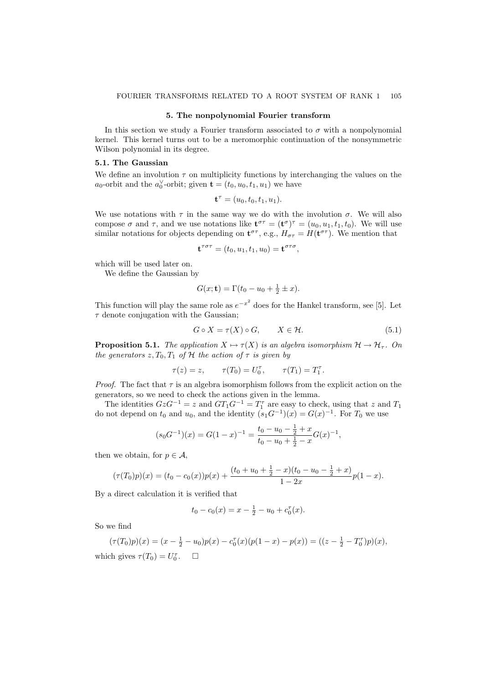#### 5. The nonpolynomial Fourier transform

In this section we study a Fourier transform associated to  $\sigma$  with a nonpolynomial kernel. This kernel turns out to be a meromorphic continuation of the nonsymmetric Wilson polynomial in its degree.

### 5.1. The Gaussian

We define an involution  $\tau$  on multiplicity functions by interchanging the values on the  $a_0$ -orbit and the  $a_0^{\vee}$ -orbit; given  $\mathbf{t} = (t_0, u_0, t_1, u_1)$  we have

$$
\mathbf{t}^{\tau} = (u_0, t_0, t_1, u_1).
$$

We use notations with  $\tau$  in the same way we do with the involution  $\sigma$ . We will also compose  $\sigma$  and  $\tau$ , and we use notations like  $\mathbf{t}^{\sigma\tau} = (\mathbf{t}^{\sigma})^{\tau} = (u_0, u_1, t_1, t_0)$ . We will use similar notations for objects depending on  $\mathbf{t}^{\sigma\tau}$ , e.g.,  $H_{\sigma\tau} = H(\mathbf{t}^{\sigma\tau})$ . We mention that

$$
\mathbf{t}^{\tau\sigma\tau} = (t_0, u_1, t_1, u_0) = \mathbf{t}^{\sigma\tau\sigma},
$$

which will be used later on.

We define the Gaussian by

$$
G(x; \mathbf{t}) = \Gamma(t_0 - u_0 + \frac{1}{2} \pm x).
$$

This function will play the same role as  $e^{-x^2}$  does for the Hankel transform, see [5]. Let  $\tau$  denote conjugation with the Gaussian;

$$
G \circ X = \tau(X) \circ G, \qquad X \in \mathcal{H}.
$$
\n
$$
(5.1)
$$

**Proposition 5.1.** The application  $X \mapsto \tau(X)$  is an algebra isomorphism  $\mathcal{H} \to \mathcal{H}_{\tau}$ . On the generators  $z, T_0, T_1$  of  $H$  the action of  $\tau$  is given by

$$
\tau(z) = z, \qquad \tau(T_0) = U_0^{\tau}, \qquad \tau(T_1) = T_1^{\tau}.
$$

*Proof.* The fact that  $\tau$  is an algebra isomorphism follows from the explicit action on the generators, so we need to check the actions given in the lemma.

The identities  $GzG^{-1} = z$  and  $GT_1G^{-1} = T_1^{\tau}$  are easy to check, using that z and  $T_1$ do not depend on  $t_0$  and  $u_0$ , and the identity  $(s_1G^{-1})(x) = G(x)^{-1}$ . For  $T_0$  we use

$$
(s_0G^{-1})(x) = G(1-x)^{-1} = \frac{t_0 - u_0 - \frac{1}{2} + x}{t_0 - u_0 + \frac{1}{2} - x}G(x)^{-1},
$$

then we obtain, for  $p \in \mathcal{A}$ ,

$$
(\tau(T_0)p)(x) = (t_0 - c_0(x))p(x) + \frac{(t_0 + u_0 + \frac{1}{2} - x)(t_0 - u_0 - \frac{1}{2} + x)}{1 - 2x}p(1 - x).
$$

By a direct calculation it is verified that

$$
t_0 - c_0(x) = x - \frac{1}{2} - u_0 + c_0^{\tau}(x).
$$

So we find

$$
(\tau(T_0)p)(x) = (x - \frac{1}{2} - u_0)p(x) - c_0^{\tau}(x)(p(1-x) - p(x)) = ((z - \frac{1}{2} - T_0^{\tau})p)(x),
$$
  
which gives  $\tau(T_0) = U_0^{\tau}$ .  $\square$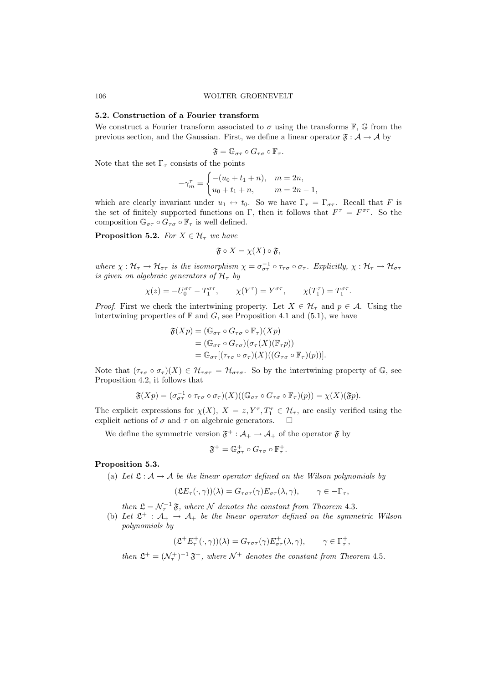### 5.2. Construction of a Fourier transform

We construct a Fourier transform associated to  $\sigma$  using the transforms  $\mathbb{F}$ ,  $\mathbb{G}$  from the previous section, and the Gaussian. First, we define a linear operator  $\mathfrak{F} : A \to A$  by

$$
\mathfrak{F}=\mathbb{G}_{\sigma\tau}\circ G_{\tau\sigma}\circ \mathbb{F}_{\tau}.
$$

Note that the set  $\Gamma_\tau$  consists of the points

$$
-\gamma_m^{\tau} = \begin{cases} -(u_0 + t_1 + n), & m = 2n, \\ u_0 + t_1 + n, & m = 2n - 1, \end{cases}
$$

which are clearly invariant under  $u_1 \leftrightarrow t_0$ . So we have  $\Gamma_\tau = \Gamma_{\sigma\tau}$ . Recall that F is the set of finitely supported functions on  $\Gamma$ , then it follows that  $F^{\tau} = F^{\sigma \tau}$ . So the composition  $\mathbb{G}_{\sigma\tau} \circ G_{\tau\sigma} \circ \mathbb{F}_{\tau}$  is well defined.

**Proposition 5.2.** For  $X \in \mathcal{H}_{\tau}$  we have

$$
\mathfrak{F} \circ X = \chi(X) \circ \mathfrak{F},
$$

where  $\chi: \mathcal{H}_{\tau} \to \mathcal{H}_{\sigma\tau}$  is the isomorphism  $\chi = \sigma_{\sigma\tau}^{-1} \circ \tau_{\tau\sigma} \circ \sigma_{\tau}$ . Explicitly,  $\chi: \mathcal{H}_{\tau} \to \mathcal{H}_{\sigma\tau}$ is given on algebraic generators of  $\mathcal{H}_{\tau}$  by

$$
\chi(z) = -U_0^{\sigma \tau} - T_1^{\sigma \tau}, \qquad \chi(Y^{\tau}) = Y^{\sigma \tau}, \qquad \chi(T_1^{\tau}) = T_1^{\sigma \tau}.
$$

*Proof.* First we check the intertwining property. Let  $X \in \mathcal{H}_{\tau}$  and  $p \in \mathcal{A}$ . Using the intertwining properties of  $\mathbb F$  and  $G$ , see Proposition 4.1 and (5.1), we have

$$
\mathfrak{F}(Xp) = (\mathbb{G}_{\sigma\tau} \circ G_{\tau\sigma} \circ \mathbb{F}_{\tau})(Xp)
$$
  
= 
$$
(\mathbb{G}_{\sigma\tau} \circ G_{\tau\sigma})(\sigma_{\tau}(X)(\mathbb{F}_{\tau}p))
$$
  
= 
$$
\mathbb{G}_{\sigma\tau}[(\tau_{\tau\sigma} \circ \sigma_{\tau})(X)((G_{\tau\sigma} \circ \mathbb{F}_{\tau})(p))].
$$

Note that  $(\tau_{\tau\sigma} \circ \sigma_{\tau})(X) \in \mathcal{H}_{\tau\sigma\tau} = \mathcal{H}_{\sigma\tau\sigma}$ . So by the intertwining property of G, see Proposition 4.2, it follows that

$$
\mathfrak{F}(Xp) = (\sigma_{\sigma\tau}^{-1} \circ \tau_{\tau\sigma} \circ \sigma_{\tau})(X)((\mathbb{G}_{\sigma\tau} \circ G_{\tau\sigma} \circ \mathbb{F}_{\tau})(p)) = \chi(X)(\mathfrak{F}p).
$$

The explicit expressions for  $\chi(X)$ ,  $X = z, Y^{\tau}, T_1^{\tau} \in \mathcal{H}_{\tau}$ , are easily verified using the explicit actions of  $\sigma$  and  $\tau$  on algebraic generators.  $\Box$ 

We define the symmetric version  $\mathfrak{F}^+$  :  $\mathcal{A}_+ \to \mathcal{A}_+$  of the operator  $\mathfrak{F}$  by

$$
\mathfrak{F}^+=\mathbb{G}_{\sigma\tau}^+\circ G_{\tau\sigma}\circ \mathbb{F}_\tau^+
$$

#### Proposition 5.3.

(a) Let  $\mathfrak{L} : \mathcal{A} \to \mathcal{A}$  be the linear operator defined on the Wilson polynomials by

$$
(\mathfrak{L}E_{\tau}(\cdot,\gamma))(\lambda) = G_{\tau\sigma\tau}(\gamma)E_{\sigma\tau}(\lambda,\gamma), \qquad \gamma \in -\Gamma_{\tau},
$$

.

then  $\mathfrak{L} = \mathcal{N}_{\tau}^{-1} \mathfrak{F}$ , where  $\mathcal N$  denotes the constant from Theorem 4.3.

(b) Let  $\mathfrak{L}^+$  :  $\mathcal{A}_+$   $\rightarrow$   $\mathcal{A}_+$  be the linear operator defined on the symmetric Wilson polynomials by

$$
(\mathfrak{L}^+ E^+_\tau(\cdot, \gamma))(\lambda) = G_{\tau \sigma \tau}(\gamma) E^+_{\sigma \tau}(\lambda, \gamma), \qquad \gamma \in \Gamma^+_\tau,
$$

then  $\mathfrak{L}^+ = (\mathcal{N}_\tau^+)^{-1} \mathfrak{F}^+$ , where  $\mathcal{N}^+$  denotes the constant from Theorem 4.5.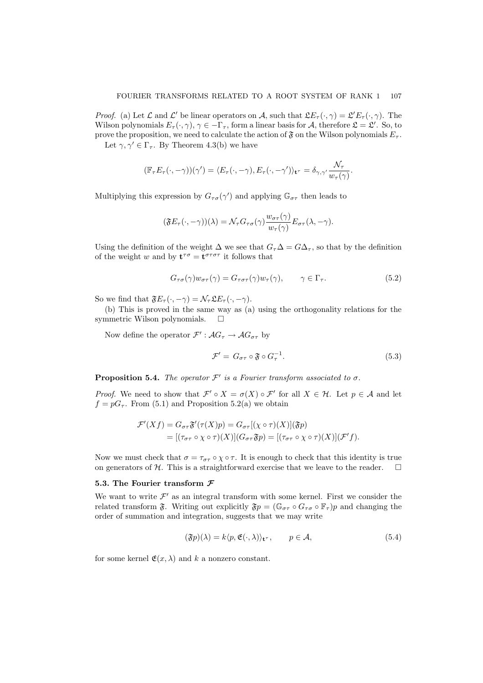*Proof.* (a) Let  $\mathcal L$  and  $\mathcal L'$  be linear operators on A, such that  $\mathfrak{L}E_{\tau}(\cdot,\gamma) = \mathfrak{L}'E_{\tau}(\cdot,\gamma)$ . The Wilson polynomials  $E_{\tau}(\cdot, \gamma)$ ,  $\gamma \in -\Gamma_{\tau}$ , form a linear basis for A, therefore  $\mathfrak{L} = \mathfrak{L}'$ . So, to prove the proposition, we need to calculate the action of  $\mathfrak F$  on the Wilson polynomials  $E_{\tau}$ .

Let  $\gamma, \gamma' \in \Gamma_{\tau}$ . By Theorem 4.3(b) we have

$$
(\mathbb{F}_{\tau}E_{\tau}(\cdot,-\gamma))(\gamma') = \langle E_{\tau}(\cdot,-\gamma), E_{\tau}(\cdot,-\gamma')\rangle_{\mathbf{t}^{\tau}} = \delta_{\gamma,\gamma'}\frac{\mathcal{N}_{\tau}}{w_{\tau}(\gamma)}
$$

Multiplying this expression by  $G_{\tau\sigma}(\gamma')$  and applying  $\mathbb{G}_{\sigma\tau}$  then leads to

$$
(\mathfrak{F}E_{\tau}(\cdot,-\gamma))(\lambda) = \mathcal{N}_{\tau}G_{\tau\sigma}(\gamma)\frac{w_{\sigma\tau}(\gamma)}{w_{\tau}(\gamma)}E_{\sigma\tau}(\lambda,-\gamma).
$$

Using the definition of the weight  $\Delta$  we see that  $G_{\tau}\Delta = G\Delta_{\tau}$ , so that by the definition of the weight w and by  $\mathbf{t}^{\tau\sigma} = \mathbf{t}^{\sigma\tau\sigma\tau}$  it follows that

$$
G_{\tau\sigma}(\gamma)w_{\sigma\tau}(\gamma) = G_{\tau\sigma\tau}(\gamma)w_{\tau}(\gamma), \qquad \gamma \in \Gamma_{\tau}.
$$
 (5.2)

So we find that  $\mathfrak{F}E_{\tau}(\cdot, -\gamma) = \mathcal{N}_{\tau} \mathfrak{L}E_{\tau}(\cdot, -\gamma)$ .

(b) This is proved in the same way as (a) using the orthogonality relations for the symmetric Wilson polynomials.  $\square$ 

Now define the operator  $\mathcal{F}' : \mathcal{A}G_{\tau} \to \mathcal{A}G_{\sigma\tau}$  by

$$
\mathcal{F}' = G_{\sigma\tau} \circ \mathfrak{F} \circ G_{\tau}^{-1}.
$$
\n
$$
(5.3)
$$

.

**Proposition 5.4.** The operator  $\mathcal{F}'$  is a Fourier transform associated to  $\sigma$ .

*Proof.* We need to show that  $\mathcal{F}' \circ X = \sigma(X) \circ \mathcal{F}'$  for all  $X \in \mathcal{H}$ . Let  $p \in \mathcal{A}$  and let  $f = pG_{\tau}$ . From (5.1) and Proposition 5.2(a) we obtain

$$
\mathcal{F}'(Xf) = G_{\sigma\tau}\mathfrak{F}'(\tau(X)p) = G_{\sigma\tau}[(\chi \circ \tau)(X)](\mathfrak{F}p)
$$
  
= 
$$
[(\tau_{\sigma\tau} \circ \chi \circ \tau)(X)](G_{\sigma\tau}\mathfrak{F}p) = [(\tau_{\sigma\tau} \circ \chi \circ \tau)(X)](\mathcal{F}'f).
$$

Now we must check that  $\sigma = \tau_{\sigma\tau} \circ \chi \circ \tau$ . It is enough to check that this identity is true on generators of  $H$ . This is a straightforward exercise that we leave to the reader.  $\Box$ 

### 5.3. The Fourier transform  $\mathcal F$

We want to write  $\mathcal{F}'$  as an integral transform with some kernel. First we consider the related transform  $\mathfrak{F}$ . Writing out explicitly  $\mathfrak{F}p = (\mathbb{G}_{\sigma\tau} \circ \mathbb{F}_{\tau})p$  and changing the order of summation and integration, suggests that we may write

$$
(\mathfrak{F}p)(\lambda) = k \langle p, \mathfrak{E}(\cdot, \lambda) \rangle_{\mathbf{t}^{\tau}}, \qquad p \in \mathcal{A}, \tag{5.4}
$$

for some kernel  $\mathfrak{E}(x,\lambda)$  and k a nonzero constant.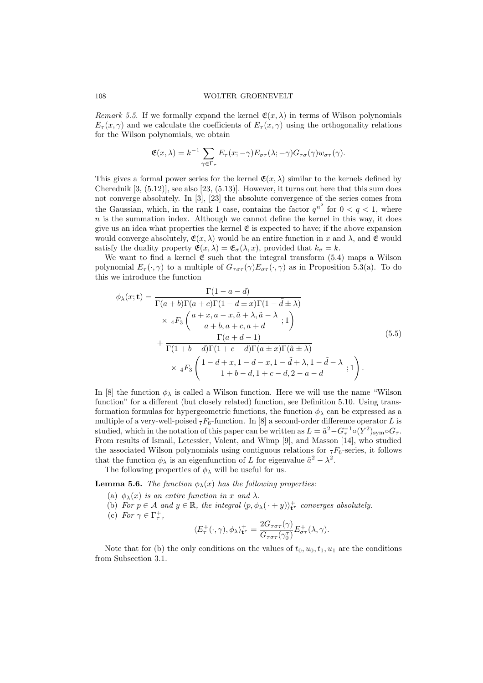Remark 5.5. If we formally expand the kernel  $\mathfrak{E}(x,\lambda)$  in terms of Wilson polynomials  $E_{\tau}(x, \gamma)$  and we calculate the coefficients of  $E_{\tau}(x, \gamma)$  using the orthogonality relations for the Wilson polynomials, we obtain

$$
\mathfrak{E}(x,\lambda)=k^{-1}\sum_{\gamma\in\Gamma_{\tau}}E_{\tau}(x;-\gamma)E_{\sigma\tau}(\lambda;-\gamma)G_{\tau\sigma}(\gamma)w_{\sigma\tau}(\gamma).
$$

This gives a formal power series for the kernel  $\mathfrak{E}(x,\lambda)$  similar to the kernels defined by Cherednik  $[3, (5.12)]$ , see also  $[23, (5.13)]$ . However, it turns out here that this sum does not converge absolutely. In [3], [23] the absolute convergence of the series comes from the Gaussian, which, in the rank 1 case, contains the factor  $q^{n^2}$  for  $0 < q < 1$ , where  $n$  is the summation index. Although we cannot define the kernel in this way, it does give us an idea what properties the kernel  $\mathfrak E$  is expected to have; if the above expansion would converge absolutely,  $\mathfrak{E}(x, \lambda)$  would be an entire function in x and  $\lambda$ , and  $\mathfrak{E}$  would satisfy the duality property  $\mathfrak{E}(x,\lambda) = \mathfrak{E}_{\sigma}(\lambda,x)$ , provided that  $k_{\sigma} = k$ .

We want to find a kernel  $\mathfrak E$  such that the integral transform (5.4) maps a Wilson polynomial  $E_{\tau}(\cdot,\gamma)$  to a multiple of  $G_{\tau\sigma\tau}(\gamma)E_{\sigma\tau}(\cdot,\gamma)$  as in Proposition 5.3(a). To do this we introduce the function

$$
\phi_{\lambda}(x; \mathbf{t}) = \frac{\Gamma(1 - a - d)}{\Gamma(a + b)\Gamma(a + c)\Gamma(1 - d \pm x)\Gamma(1 - \tilde{d} \pm \lambda)}
$$
\n
$$
\times 4F_3 \begin{pmatrix} a + x, a - x, \tilde{a} + \lambda, \tilde{a} - \lambda \\ a + b, a + c, a + d \end{pmatrix} + \frac{\Gamma(a + d - 1)}{\Gamma(1 + b - d)\Gamma(1 + c - d)\Gamma(a \pm x)\Gamma(\tilde{a} \pm \lambda)}
$$
\n
$$
\times 4F_3 \begin{pmatrix} 1 - d + x, 1 - d - x, 1 - \tilde{d} + \lambda, 1 - \tilde{d} - \lambda \\ 1 + b - d, 1 + c - d, 2 - a - d \end{pmatrix} (5.5)
$$

In [8] the function  $\phi_{\lambda}$  is called a Wilson function. Here we will use the name "Wilson function" for a different (but closely related) function, see Definition 5.10. Using transformation formulas for hypergeometric functions, the function  $\phi_{\lambda}$  can be expressed as a multiple of a very-well-poised  $_7F_6$ -function. In [8] a second-order difference operator L is studied, which in the notation of this paper can be written as  $L = \tilde{a}^2 - G_\tau^{-1} \circ (Y^2)_{\text{sym}} \circ G_\tau$ . From results of Ismail, Letessier, Valent, and Wimp [9], and Masson [14], who studied the associated Wilson polynomials using contiguous relations for  $\tau F_6$ -series, it follows that the function  $\phi_{\lambda}$  is an eigenfunction of L for eigenvalue  $\tilde{a}^2 - \lambda^2$ .

The following properties of  $\phi_{\lambda}$  will be useful for us.

**Lemma 5.6.** The function  $\phi_{\lambda}(x)$  has the following properties:

- (a)  $\phi_{\lambda}(x)$  is an entire function in x and  $\lambda$ .
- (b) For  $p \in A$  and  $y \in \mathbb{R}$ , the integral  $\langle p, \phi_\lambda(\cdot + y) \rangle_{\mathbf{t}^{\tau}}^+$  converges absolutely.
- (c) For  $\gamma \in \Gamma_{\tau}^{+}$ ,

$$
\langle E_{\tau}^{+}(\cdot,\gamma),\phi_{\lambda}\rangle_{\mathbf{t}^{\tau}}^{+} = \frac{2G_{\tau\sigma\tau}(\gamma)}{G_{\tau\sigma\tau}(\gamma_{0}^{\tau})}E_{\sigma\tau}^{+}(\lambda,\gamma).
$$

Note that for (b) the only conditions on the values of  $t_0, u_0, t_1, u_1$  are the conditions from Subsection 3.1.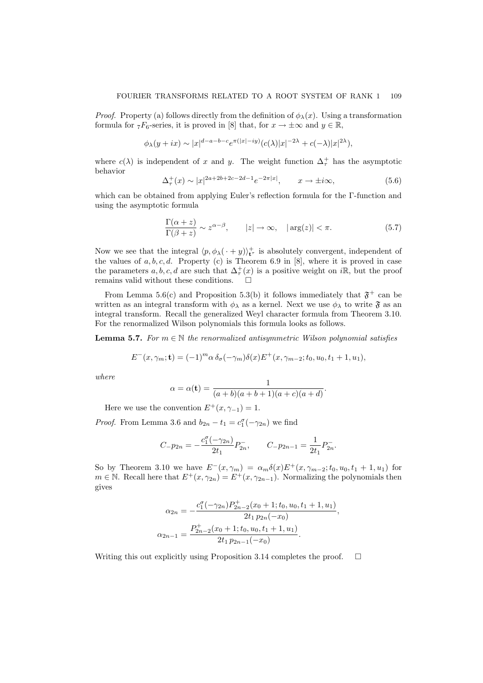*Proof.* Property (a) follows directly from the definition of  $\phi_{\lambda}(x)$ . Using a transformation formula for  ${}_7F_6$ -series, it is proved in [8] that, for  $x \to \pm \infty$  and  $y \in \mathbb{R}$ ,

$$
\phi_{\lambda}(y+ix)\sim |x|^{d-a-b-c}e^{\pi(|x|-iy)}(c(\lambda)|x|^{-2\lambda}+c(-\lambda)|x|^{2\lambda}),
$$

where  $c(\lambda)$  is independent of x and y. The weight function  $\Delta^+$  has the asymptotic behavior

$$
\Delta_{\tau}^{+}(x) \sim |x|^{2a+2b+2c-2d-1} e^{-2\pi|x|}, \qquad x \to \pm i\infty,
$$
\n(5.6)

which can be obtained from applying Euler's reflection formula for the Γ-function and using the asymptotic formula

$$
\frac{\Gamma(\alpha+z)}{\Gamma(\beta+z)} \sim z^{\alpha-\beta}, \qquad |z| \to \infty, \quad |\arg(z)| < \pi. \tag{5.7}
$$

Now we see that the integral  $\langle p, \phi_\lambda(\cdot + y) \rangle_{\mathbf{t}^{\tau}}^+$  is absolutely convergent, independent of the values of  $a, b, c, d$ . Property (c) is Theorem 6.9 in [8], where it is proved in case the parameters  $a, b, c, d$  are such that  $\Delta^+_\tau(x)$  is a positive weight on iR, but the proof remains valid without these conditions.

From Lemma 5.6(c) and Proposition 5.3(b) it follows immediately that  $\mathfrak{F}^+$  can be written as an integral transform with  $\phi_{\lambda}$  as a kernel. Next we use  $\phi_{\lambda}$  to write  $\mathfrak{F}$  as an integral transform. Recall the generalized Weyl character formula from Theorem 3.10. For the renormalized Wilson polynomials this formula looks as follows.

**Lemma 5.7.** For  $m \in \mathbb{N}$  the renormalized antisymmetric Wilson polynomial satisfies

$$
E^-(x,\gamma_m; \mathbf{t}) = (-1)^m \alpha \delta_\sigma(-\gamma_m) \delta(x) E^+(x,\gamma_{m-2}; t_0, u_0, t_1 + 1, u_1),
$$

where

$$
\alpha = \alpha(\mathbf{t}) = \frac{1}{(a+b)(a+b+1)(a+c)(a+d)}.
$$

Here we use the convention  $E^+(x, \gamma_{-1}) = 1$ .

*Proof.* From Lemma 3.6 and  $b_{2n} - t_1 = c_1^{\sigma}(-\gamma_{2n})$  we find

$$
C_{-}p_{2n} = -\frac{c_1^{\sigma}(-\gamma_{2n})}{2t_1}P_{2n}^{-}, \qquad C_{-}p_{2n-1} = \frac{1}{2t_1}P_{2n}^{-}.
$$

So by Theorem 3.10 we have  $E^-(x, \gamma_m) = \alpha_m \delta(x) E^+(x, \gamma_{m-2}; t_0, u_0, t_1 + 1, u_1)$  for  $m \in \mathbb{N}$ . Recall here that  $E^+(x, \gamma_{2n}) = E^+(x, \gamma_{2n-1})$ . Normalizing the polynomials then gives

$$
\alpha_{2n} = -\frac{c_1^{\sigma}(-\gamma_{2n})P_{2n-2}^+(x_0+1;t_0,u_0,t_1+1,u_1)}{2t_1 p_{2n}(-x_0)},
$$
  

$$
\alpha_{2n-1} = \frac{P_{2n-2}^+(x_0+1;t_0,u_0,t_1+1,u_1)}{2t_1 p_{2n-1}(-x_0)}.
$$

Writing this out explicitly using Proposition 3.14 completes the proof.  $\Box$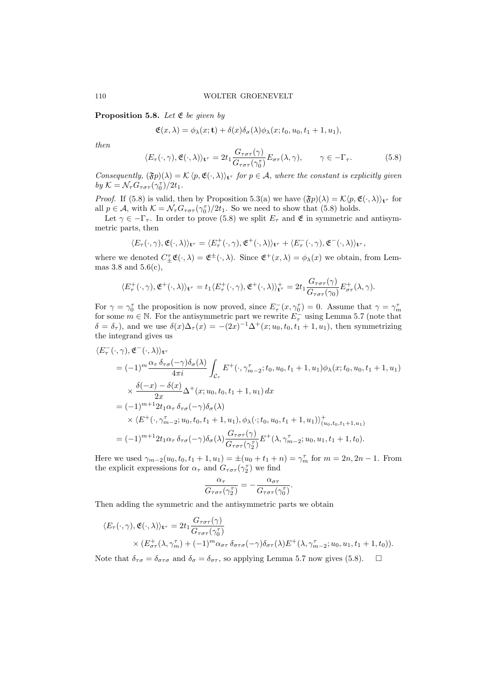**Proposition 5.8.** Let  $\mathfrak{E}$  be given by

$$
\mathfrak{E}(x,\lambda) = \phi_{\lambda}(x;\mathbf{t}) + \delta(x)\delta_{\sigma}(\lambda)\phi_{\lambda}(x;t_0,u_0,t_1+1,u_1),
$$

then

$$
\langle E_{\tau}(\cdot,\gamma), \mathfrak{E}(\cdot,\lambda) \rangle_{\mathbf{t}^{\tau}} = 2t_1 \frac{G_{\tau\sigma\tau}(\gamma)}{G_{\tau\sigma\tau}(\gamma_0^{\tau})} E_{\sigma\tau}(\lambda,\gamma), \qquad \gamma \in -\Gamma_{\tau}.
$$
 (5.8)

Consequently,  $(\mathfrak{F}p)(\lambda) = \mathcal{K}\langle p, \mathfrak{E}(\cdot, \lambda) \rangle_{\mathbf{t}}$  for  $p \in \mathcal{A}$ , where the constant is explicitly given by  $K = \mathcal{N}_{\tau} G_{\tau \sigma \tau} (\gamma_0^{\tau}) / 2t_1$ .

*Proof.* If (5.8) is valid, then by Proposition 5.3(a) we have  $(\mathfrak{F}p)(\lambda) = \mathcal{K}\langle p, \mathfrak{E}(\cdot, \lambda)\rangle_{\mathbf{t}^{\tau}}$  for all  $p \in A$ , with  $K = \mathcal{N}_{\tau} G_{\tau \sigma \tau} (\gamma_0^{\tau})/2t_1$ . So we need to show that (5.8) holds.

Let  $\gamma \in -\Gamma_{\tau}$ . In order to prove (5.8) we split  $E_{\tau}$  and  $\mathfrak{E}$  in symmetric and antisymmetric parts, then

$$
\langle E_\tau(\cdot,\gamma), \mathfrak{E}(\cdot,\lambda)\rangle_{{\bf t}^\tau} = \langle E_\tau^+(\cdot,\gamma), \mathfrak{E}^+(\cdot,\lambda)\rangle_{{\bf t}^\tau} + \langle E_\tau^-(\cdot,\gamma), \mathfrak{E}^-(\cdot,\lambda)\rangle_{{\bf t}^\tau},
$$

where we denoted  $C_{\pm}^{\tau}\mathfrak{E}(\cdot,\lambda) = \mathfrak{E}^{\pm}(\cdot,\lambda)$ . Since  $\mathfrak{E}^{+}(x,\lambda) = \phi_{\lambda}(x)$  we obtain, from Lemmas  $3.8$  and  $5.6(c)$ ,

$$
\langle E_{\tau}^+(\cdot,\gamma), \mathfrak{E}^+(\cdot,\lambda) \rangle_{\mathbf{t}^{\tau}} = t_1 \langle E_{\tau}^+(\cdot,\gamma), \mathfrak{E}^+(\cdot,\lambda) \rangle_{\mathbf{t}^{\tau}}^+ = 2t_1 \frac{G_{\tau\sigma\tau}(\gamma)}{G_{\tau\sigma\tau}(\gamma_0)} E_{\sigma\tau}^+(\lambda,\gamma).
$$

For  $\gamma = \gamma_0^{\tau}$  the proposition is now proved, since  $E_{\tau}^{-}(x, \gamma_0^{\tau}) = 0$ . Assume that  $\gamma = \gamma_m^{\tau}$ for some  $m \in \mathbb{N}$ . For the antisymmetric part we rewrite  $E_{\tau}^-$  using Lemma 5.7 (note that  $\delta = \delta_{\tau}$ ), and we use  $\delta(x)\Delta_{\tau}(x) = -(2x)^{-1}\Delta^{+}(x; u_0, t_0, t_1 + 1, u_1)$ , then symmetrizing the integrand gives us

$$
\langle E_{\tau}^{-}(\cdot,\gamma), \mathfrak{E}^{-}(\cdot,\lambda) \rangle_{\mathbf{t}^{\tau}}
$$
\n
$$
= (-1)^{m} \frac{\alpha_{\tau} \delta_{\tau\sigma}(-\gamma)\delta_{\sigma}(\lambda)}{4\pi i} \int_{\mathcal{C}_{\tau}} E^{+}(\cdot,\gamma_{m-2}^{\tau};t_{0},u_{0},t_{1}+1,u_{1}) \phi_{\lambda}(x;t_{0},u_{0},t_{1}+1,u_{1})
$$
\n
$$
\times \frac{\delta(-x)-\delta(x)}{2x} \Delta^{+}(x;u_{0},t_{0},t_{1}+1,u_{1}) dx
$$
\n
$$
= (-1)^{m+1} 2t_{1}\alpha_{\tau} \delta_{\tau\sigma}(-\gamma)\delta_{\sigma}(\lambda)
$$
\n
$$
\times \langle E^{+}(\cdot,\gamma_{m-2}^{\tau};u_{0},t_{0},t_{1}+1,u_{1}), \phi_{\lambda}(\cdot;t_{0},u_{0},t_{1}+1,u_{1}) \rangle_{(u_{0},t_{0},t_{1}+1,u_{1})}^{+}
$$
\n
$$
= (-1)^{m+1} 2t_{1}\alpha_{\tau} \delta_{\tau\sigma}(-\gamma)\delta_{\sigma}(\lambda) \frac{G_{\tau\sigma\tau}(\gamma)}{G_{\tau\sigma\tau}(\gamma_{2}^{\tau})} E^{+}(\lambda,\gamma_{m-2}^{\tau};u_{0},u_{1},t_{1}+1,t_{0}).
$$

Here we used  $\gamma_{m-2}(u_0, t_0, t_1 + 1, u_1) = \pm (u_0 + t_1 + n) = \gamma_m^{\tau}$  for  $m = 2n, 2n - 1$ . From the explicit expressions for  $\alpha_{\tau}$  and  $G_{\tau\sigma\tau}(\gamma_2^{\tau})$  we find

$$
\frac{\alpha_{\tau}}{G_{\tau\sigma\tau}(\gamma_2^{\tau})} = -\frac{\alpha_{\sigma\tau}}{G_{\tau\sigma\tau}(\gamma_0^{\tau})}.
$$

Then adding the symmetric and the antisymmetric parts we obtain

$$
\langle E_{\tau}(\cdot,\gamma), \mathfrak{E}(\cdot,\lambda) \rangle_{\mathbf{t}^{\tau}} = 2t_1 \frac{G_{\tau\sigma\tau}(\gamma)}{G_{\tau\sigma\tau}(\gamma_0^{\tau})} \times (E_{\sigma\tau}^+(\lambda,\gamma_m^{\tau}) + (-1)^m \alpha_{\sigma\tau} \delta_{\sigma\tau\sigma}(-\gamma) \delta_{\sigma\tau}(\lambda) E^+(\lambda,\gamma_{m-2}^{\tau};u_0,u_1,t_1+1,t_0)).
$$

Note that  $\delta_{\tau\sigma} = \delta_{\sigma\tau\sigma}$  and  $\delta_{\sigma} = \delta_{\sigma\tau}$ , so applying Lemma 5.7 now gives (5.8).  $\Box$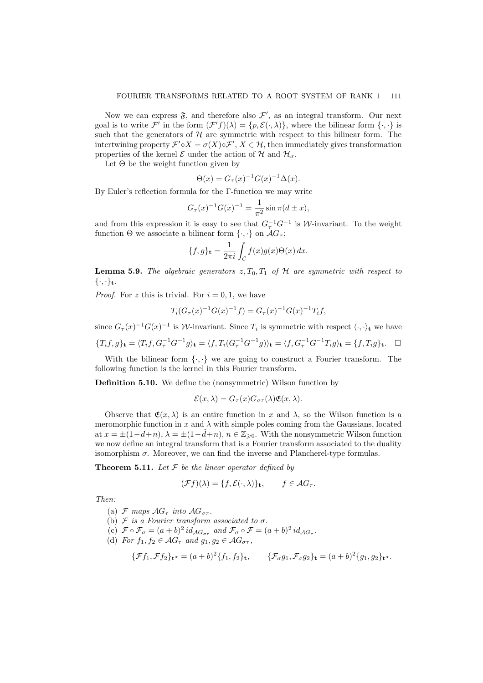Now we can express  $\mathfrak{F}$ , and therefore also  $\mathcal{F}'$ , as an integral transform. Our next goal is to write  $\mathcal{F}'$  in the form  $(\mathcal{F}'f)(\lambda) = \{p, \mathcal{E}(\cdot, \lambda)\}\$ , where the bilinear form  $\{\cdot, \cdot\}$  is such that the generators of  $H$  are symmetric with respect to this bilinear form. The intertwining property  $\mathcal{F}' \circ X = \sigma(X) \circ \mathcal{F}', X \in \mathcal{H}$ , then immediately gives transformation properties of the kernel  $\mathcal E$  under the action of  $\mathcal H$  and  $\mathcal H_{\sigma}$ .

Let  $\Theta$  be the weight function given by

$$
\Theta(x) = G_{\tau}(x)^{-1} G(x)^{-1} \Delta(x).
$$

By Euler's reflection formula for the Γ-function we may write

$$
G_{\tau}(x)^{-1}G(x)^{-1} = \frac{1}{\pi^2} \sin \pi (d \pm x),
$$

and from this expression it is easy to see that  $G_{\tau}^{-1}G^{-1}$  is W-invariant. To the weight function  $\Theta$  we associate a bilinear form  $\{\cdot,\cdot\}$  on  $\mathcal{A}G_{\tau}$ ;

$$
\{f, g\}_{\mathbf{t}} = \frac{1}{2\pi i} \int_{\mathcal{C}} f(x)g(x)\Theta(x) dx.
$$

**Lemma 5.9.** The algebraic generators  $z, T_0, T_1$  of H are symmetric with respect to  $\{\cdot,\cdot\}_{\mathbf{t}}.$ 

*Proof.* For z this is trivial. For  $i = 0, 1$ , we have

$$
T_i(G_\tau(x)^{-1}G(x)^{-1}f) = G_\tau(x)^{-1}G(x)^{-1}T_if,
$$

since  $G_{\tau}(x)^{-1}G(x)^{-1}$  is W-invariant. Since  $T_i$  is symmetric with respect  $\langle \cdot, \cdot \rangle_{\mathbf{t}}$  we have

$$
\{T_i f, g\}_{\mathbf{t}} = \langle T_i f, G_{\tau}^{-1} G^{-1} g \rangle_{\mathbf{t}} = \langle f, T_i (G_{\tau}^{-1} G^{-1} g) \rangle_{\mathbf{t}} = \langle f, G_{\tau}^{-1} G^{-1} T_i g \rangle_{\mathbf{t}} = \{f, T_i g\}_{\mathbf{t}}.
$$

With the bilinear form  $\{\cdot,\cdot\}$  we are going to construct a Fourier transform. The following function is the kernel in this Fourier transform.

Definition 5.10. We define the (nonsymmetric) Wilson function by

$$
\mathcal{E}(x,\lambda) = G_{\tau}(x)G_{\sigma\tau}(\lambda)\mathfrak{E}(x,\lambda).
$$

Observe that  $\mathfrak{E}(x, \lambda)$  is an entire function in x and  $\lambda$ , so the Wilson function is a meromorphic function in x and  $\lambda$  with simple poles coming from the Gaussians, located at  $x = \pm(1-d+n)$ ,  $\lambda = \pm(1-\tilde{d}+n)$ ,  $n \in \mathbb{Z}_{\geq 0}$ . With the nonsymmetric Wilson function we now define an integral transform that is a Fourier transform associated to the duality isomorphism  $\sigma$ . Moreover, we can find the inverse and Plancherel-type formulas.

**Theorem 5.11.** Let  $\mathcal F$  be the linear operator defined by

$$
(\mathcal{F}f)(\lambda) = \{f, \mathcal{E}(\cdot, \lambda)\}_\mathbf{t}, \qquad f \in \mathcal{A}G_\tau.
$$

Then:

- (a) F maps  $AG_{\tau}$  into  $AG_{\sigma\tau}$ .
- (b)  $\mathcal F$  is a Fourier transform associated to  $\sigma$ .
- (c)  $\mathcal{F} \circ \mathcal{F}_{\sigma} = (a+b)^2 id_{\mathcal{AG}_{\sigma\tau}}$  and  $\mathcal{F}_{\sigma} \circ \mathcal{F} = (a+b)^2 id_{\mathcal{AG}_{\tau}}$ .
- (d) For  $f_1, f_2 \in \mathcal{A}G_\tau$  and  $g_1, g_2 \in \mathcal{A}G_{\sigma\tau}$ ,

$$
\{\mathcal{F}f_1, \mathcal{F}f_2\}_{\mathbf{t}^\sigma} = (a+b)^2 \{f_1, f_2\}_{\mathbf{t}}, \qquad \{\mathcal{F}_\sigma g_1, \mathcal{F}_\sigma g_2\}_{\mathbf{t}} = (a+b)^2 \{g_1, g_2\}_{\mathbf{t}^\sigma}.
$$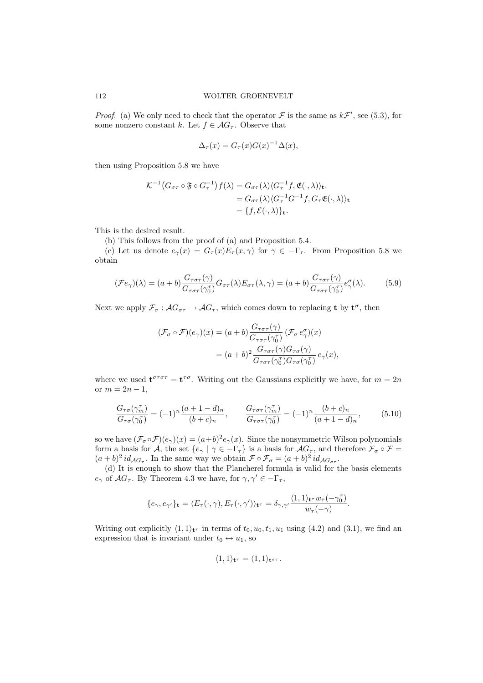*Proof.* (a) We only need to check that the operator  $\mathcal F$  is the same as  $k\mathcal F'$ , see (5.3), for some nonzero constant k. Let  $f \in \mathcal{AG}_{\tau}$ . Observe that

$$
\Delta_{\tau}(x) = G_{\tau}(x)G(x)^{-1}\Delta(x),
$$

then using Proposition 5.8 we have

$$
\mathcal{K}^{-1}(G_{\sigma\tau} \circ \mathfrak{F} \circ G_{\tau}^{-1})f(\lambda) = G_{\sigma\tau}(\lambda)\langle G_{\tau}^{-1}f, \mathfrak{E}(\cdot, \lambda)\rangle_{\mathbf{t}^{\tau}}
$$
  
=  $G_{\sigma\tau}(\lambda)\langle G_{\tau}^{-1}G^{-1}f, G_{\tau}\mathfrak{E}(\cdot, \lambda)\rangle_{\mathbf{t}}$   
=  $\{f, \mathcal{E}(\cdot, \lambda)\}_{\mathbf{t}}$ .

This is the desired result.

(b) This follows from the proof of (a) and Proposition 5.4.

(c) Let us denote  $e_\gamma(x) = G_\tau(x) E_\tau(x, \gamma)$  for  $\gamma \in -\Gamma_\tau$ . From Proposition 5.8 we obtain

$$
(\mathcal{F}e_{\gamma})(\lambda) = (a+b)\frac{G_{\tau\sigma\tau}(\gamma)}{G_{\tau\sigma\tau}(\gamma_0^{\tau})}G_{\sigma\tau}(\lambda)E_{\sigma\tau}(\lambda,\gamma) = (a+b)\frac{G_{\tau\sigma\tau}(\gamma)}{G_{\tau\sigma\tau}(\gamma_0^{\tau})}e_{\gamma}^{\sigma}(\lambda).
$$
(5.9)

Next we apply  $\mathcal{F}_{\sigma}$ :  $\mathcal{A}G_{\sigma\tau} \to \mathcal{A}G_{\tau}$ , which comes down to replacing **t** by  $\mathbf{t}^{\sigma}$ , then

$$
\begin{aligned} (\mathcal{F}_{\sigma} \circ \mathcal{F})(e_{\gamma})(x) &= (a+b) \frac{G_{\tau \sigma \tau}(\gamma)}{G_{\tau \sigma \tau}(\gamma_0^{\tau})} \left( \mathcal{F}_{\sigma} e_{\gamma}^{\sigma} \right)(x) \\ &= (a+b)^2 \frac{G_{\tau \sigma \tau}(\gamma) G_{\tau \sigma}(\gamma)}{G_{\tau \sigma \tau}(\gamma_0^{\tau}) G_{\tau \sigma}(\gamma_0^{\tau})} \, e_{\gamma}(x), \end{aligned}
$$

where we used  $\mathbf{t}^{\sigma\tau\sigma\tau} = \mathbf{t}^{\tau\sigma}$ . Writing out the Gaussians explicitly we have, for  $m = 2n$ or  $m = 2n - 1$ ,

$$
\frac{G_{\tau\sigma}(\gamma_m^{\tau})}{G_{\tau\sigma}(\gamma_0^{\tau})} = (-1)^n \frac{(a+1-d)_n}{(b+c)_n}, \qquad \frac{G_{\tau\sigma\tau}(\gamma_m^{\tau})}{G_{\tau\sigma\tau}(\gamma_0^{\tau})} = (-1)^n \frac{(b+c)_n}{(a+1-d)_n}, \qquad (5.10)
$$

so we have  $(\mathcal{F}_{\sigma} \circ \mathcal{F})(e_{\gamma})(x) = (a+b)^2 e_{\gamma}(x)$ . Since the nonsymmetric Wilson polynomials form a basis for A, the set  $\{e_\gamma \mid \gamma \in -\Gamma_\tau\}$  is a basis for  $AG_\tau$ , and therefore  $\mathcal{F}_\sigma \circ \mathcal{F} =$  $(a + b)^2 id_{\mathcal{AG}_{\tau}}$ . In the same way we obtain  $\mathcal{F} \circ \mathcal{F}_{\sigma} = (a + b)^2 id_{\mathcal{AG}_{\sigma\tau}}$ .

(d) It is enough to show that the Plancherel formula is valid for the basis elements  $e_{\gamma}$  of  $\mathcal{A}G_{\tau}$ . By Theorem 4.3 we have, for  $\gamma, \gamma' \in -\Gamma_{\tau}$ ,

$$
\{e_\gamma, e_{\gamma'}\}_\mathbf{t} = \langle E_\tau(\cdot, \gamma), E_\tau(\cdot, \gamma')\rangle_{\mathbf{t}^\tau} = \delta_{\gamma, \gamma'} \frac{\langle 1, 1\rangle_{\mathbf{t}^\tau} w_\tau(-\gamma_0^\tau)}{w_\tau(-\gamma)}.
$$

Writing out explicitly  $\langle 1, 1 \rangle_{\mathbf{t}^{\tau}}$  in terms of  $t_0, u_0, t_1, u_1$  using  $(4.2)$  and  $(3.1)$ , we find an expression that is invariant under  $t_0 \leftrightarrow u_1$ , so

$$
\langle 1,1\rangle_{\mathbf{t}^\tau} = \langle 1,1\rangle_{\mathbf{t}^{\sigma\tau}}.
$$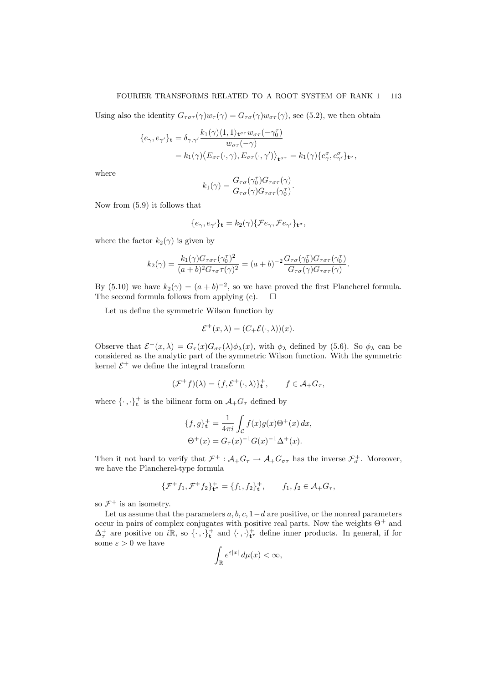### FOURIER TRANSFORMS RELATED TO A ROOT SYSTEM OF RANK 1 113

Using also the identity  $G_{\tau\sigma\tau}(\gamma)w_{\tau}(\gamma) = G_{\tau\sigma}(\gamma)w_{\sigma\tau}(\gamma)$ , see (5.2), we then obtain

$$
\begin{aligned} \{e_{\gamma},e_{\gamma'}\}_{\mathbf{t}} &= \delta_{\gamma,\gamma'}\frac{k_1(\gamma)\langle 1,1\rangle_{\mathbf{t}^{\sigma\tau}}w_{\sigma\tau}(-\gamma_0^\tau)}{w_{\sigma\tau}(-\gamma)}\\ &= k_1(\gamma)\langle E_{\sigma\tau}(\cdot,\gamma),E_{\sigma\tau}(\cdot,\gamma')\rangle_{\mathbf{t}^{\sigma\tau}} = k_1(\gamma)\{e_{\gamma}^{\sigma},e_{\gamma}^{\sigma}\}_{\mathbf{t}^{\sigma}}, \end{aligned}
$$

where

$$
k_1(\gamma) = \frac{G_{\tau\sigma}(\gamma_0^{\tau})G_{\tau\sigma\tau}(\gamma)}{G_{\tau\sigma}(\gamma)G_{\tau\sigma\tau}(\gamma_0^{\tau})}.
$$

Now from (5.9) it follows that

$$
\{e_{\gamma}, e_{\gamma'}\}_{\mathbf{t}} = k_2(\gamma)\{\mathcal{F}e_{\gamma}, \mathcal{F}e_{\gamma'}\}_{\mathbf{t}^{\sigma}},
$$

where the factor  $k_2(\gamma)$  is given by

$$
k_2(\gamma) = \frac{k_1(\gamma)G_{\tau\sigma\tau}(\gamma_0^{\tau})^2}{(a+b)^2G_{\tau\sigma}\tau(\gamma)^2} = (a+b)^{-2}\frac{G_{\tau\sigma}(\gamma_0^{\tau})G_{\tau\sigma\tau}(\gamma_0^{\tau})}{G_{\tau\sigma}(\gamma)G_{\tau\sigma\tau}(\gamma)}.
$$

By (5.10) we have  $k_2(\gamma) = (a+b)^{-2}$ , so we have proved the first Plancherel formula. The second formula follows from applying (c).  $\Box$ 

Let us define the symmetric Wilson function by

$$
\mathcal{E}^+(x,\lambda) = (C_+\mathcal{E}(\cdot,\lambda))(x).
$$

Observe that  $\mathcal{E}^+(x,\lambda) = G_\tau(x)G_{\sigma\tau}(\lambda)\phi_\lambda(x)$ , with  $\phi_\lambda$  defined by (5.6). So  $\phi_\lambda$  can be considered as the analytic part of the symmetric Wilson function. With the symmetric kernel  $\mathcal{E}^+$  we define the integral transform

$$
(\mathcal{F}^+f)(\lambda) = \{f, \mathcal{E}^+(\cdot, \lambda)\}_\mathbf{t}^+, \qquad f \in \mathcal{A}_+G_\tau,
$$

where  $\{\cdot,\cdot\}^+$  is the bilinear form on  $\mathcal{A}_+G_\tau$  defined by

$$
\{f, g\}_{\mathbf{t}}^{+} = \frac{1}{4\pi i} \int_{\mathcal{C}} f(x)g(x)\Theta^{+}(x) dx,
$$
  

$$
\Theta^{+}(x) = G_{\tau}(x)^{-1}G(x)^{-1}\Delta^{+}(x).
$$

Then it not hard to verify that  $\mathcal{F}^+$ :  $\mathcal{A}_+G_\tau \to \mathcal{A}_+G_{\sigma\tau}$  has the inverse  $\mathcal{F}^+_\sigma$ . Moreover, we have the Plancherel-type formula

$$
\{\mathcal{F}^+f_1, \mathcal{F}^+f_2\}_{\mathbf{t}^\sigma}^+ = \{f_1, f_2\}_{\mathbf{t}^\tau}^+, \qquad f_1, f_2 \in \mathcal{A}_+G_\tau,
$$

so  $\mathcal{F}^+$  is an isometry.

Let us assume that the parameters  $a, b, c, 1-d$  are positive, or the nonreal parameters occur in pairs of complex conjugates with positive real parts. Now the weights  $\Theta^+$  and  $\Delta_{\tau}^{+}$  are positive on iR, so  $\{\cdot,\cdot\}_{\mathbf{t}}^{+}$  and  $\langle\cdot,\cdot\rangle_{\mathbf{t}^{\tau}}^{+}$  define inner products. In general, if for some  $\varepsilon>0$  we have

$$
\int_{\mathbb{R}} e^{\varepsilon |x|} \, d\mu(x) < \infty,
$$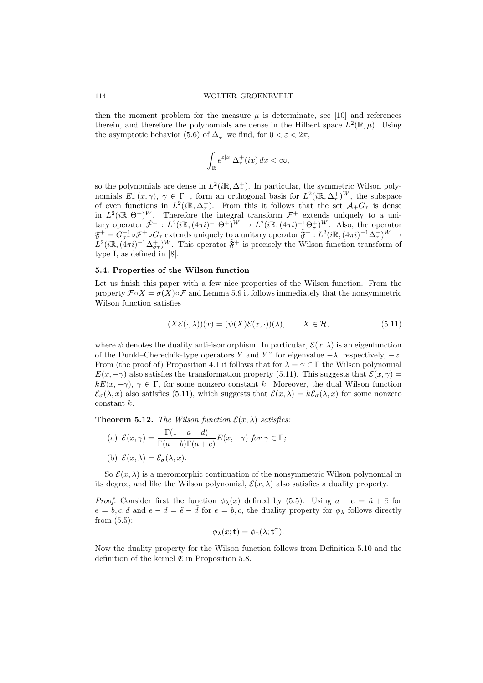then the moment problem for the measure  $\mu$  is determinate, see [10] and references therein, and therefore the polynomials are dense in the Hilbert space  $L^2(\mathbb{R}, \mu)$ . Using the asymptotic behavior (5.6) of  $\Delta^+$  we find, for  $0 < \varepsilon < 2\pi$ ,

$$
\int_{\mathbb{R}}e^{\varepsilon|x|}\Delta_\tau^+(ix)\,dx<\infty,
$$

so the polynomials are dense in  $L^2(i\mathbb{R}, \Delta^+_{\tau})$ . In particular, the symmetric Wilson polynomials  $E^+_\tau(x,\gamma)$ ,  $\gamma \in \Gamma^+$ , form an orthogonal basis for  $L^2(i\mathbb{R},\Delta^+_\tau)^W$ , the subspace of even functions in  $L^2(i\mathbb{R},\Delta_\tau^+)$ . From this it follows that the set  $\mathcal{A}_+G_\tau$  is dense in  $L^2(i\mathbb{R},\Theta^+)^W$ . Therefore the integral transform  $\mathcal{F}^+$  extends uniquely to a unitary operator  $\tilde{\mathcal{F}}^+ : L^2(i\mathbb{R}, (4\pi i)^{-1}\Theta^+)^W \to L^2(i\mathbb{R}, (4\pi i)^{-1}\Theta^+_{\sigma})^W$ . Also, the operator  $\mathfrak{F}^+=G_{\sigma\tau}^{-1}\circ\mathcal{F}^+\circ G_{\tau}$  extends uniquely to a unitary operator  $\tilde{\mathfrak{F}}^+$  :  $L^2(i\mathbb{R}, (4\pi i)^{-1}\Delta_{\tau}^+)^W\to$  $L^2(i\mathbb{R}, (4\pi i)^{-1}\Delta_{\sigma\tau}^+)^W$ . This operator  $\tilde{\mathfrak{F}}^+$  is precisely the Wilson function transform of type I, as defined in [8].

### 5.4. Properties of the Wilson function

Let us finish this paper with a few nice properties of the Wilson function. From the property  $\mathcal{F} \circ X = \sigma(X) \circ \mathcal{F}$  and Lemma 5.9 it follows immediately that the nonsymmetric Wilson function satisfies

$$
(X\mathcal{E}(\cdot,\lambda))(x) = (\psi(X)\mathcal{E}(x,\cdot))(\lambda), \qquad X \in \mathcal{H}, \tag{5.11}
$$

where  $\psi$  denotes the duality anti-isomorphism. In particular,  $\mathcal{E}(x, \lambda)$  is an eigenfunction of the Dunkl–Cherednik-type operators Y and  $Y^{\sigma}$  for eigenvalue  $-\lambda$ , respectively,  $-x$ . From (the proof of) Proposition 4.1 it follows that for  $\lambda = \gamma \in \Gamma$  the Wilson polynomial  $E(x, -\gamma)$  also satisfies the transformation property (5.11). This suggests that  $\mathcal{E}(x, \gamma) =$  $kE(x, -\gamma)$ ,  $\gamma \in \Gamma$ , for some nonzero constant k. Moreover, the dual Wilson function  $\mathcal{E}_{\sigma}(\lambda, x)$  also satisfies (5.11), which suggests that  $\mathcal{E}(x, \lambda) = k\mathcal{E}_{\sigma}(\lambda, x)$  for some nonzero constant k.

**Theorem 5.12.** The Wilson function  $\mathcal{E}(x, \lambda)$  satisfies:

(a) 
$$
\mathcal{E}(x, \gamma) = \frac{\Gamma(1 - a - d)}{\Gamma(a + b)\Gamma(a + c)} E(x, -\gamma)
$$
 for  $\gamma \in \Gamma$ ;  
(b)  $\mathcal{E}(x, \lambda) = \mathcal{E}_{\sigma}(\lambda, x)$ .

So  $\mathcal{E}(x, \lambda)$  is a meromorphic continuation of the nonsymmetric Wilson polynomial in its degree, and like the Wilson polynomial,  $\mathcal{E}(x, \lambda)$  also satisfies a duality property.

*Proof.* Consider first the function  $\phi_{\lambda}(x)$  defined by (5.5). Using  $a + e = \tilde{a} + \tilde{e}$  for  $e = b, c, d$  and  $e - d = \tilde{e} - \tilde{d}$  for  $e = b, c$ , the duality property for  $\phi_{\lambda}$  follows directly from (5.5):

$$
\phi_{\lambda}(x;\mathbf{t}) = \phi_x(\lambda;\mathbf{t}^{\sigma}).
$$

Now the duality property for the Wilson function follows from Definition 5.10 and the definition of the kernel  $\mathfrak E$  in Proposition 5.8.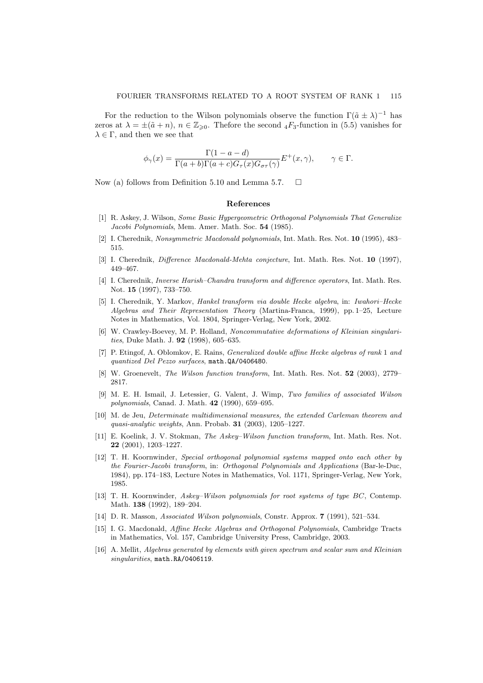For the reduction to the Wilson polynomials observe the function  $\Gamma(\tilde{a} \pm \lambda)^{-1}$  has zeros at  $\lambda = \pm(\tilde{a} + n)$ ,  $n \in \mathbb{Z}_{\geq 0}$ . Thefore the second  ${}_4F_3$ -function in (5.5) vanishes for  $\lambda \in \Gamma$ , and then we see that

$$
\phi_{\gamma}(x) = \frac{\Gamma(1 - a - d)}{\Gamma(a + b)\Gamma(a + c)G_{\tau}(x)G_{\sigma\tau}(\gamma)}E^{+}(x, \gamma), \qquad \gamma \in \Gamma.
$$

Now (a) follows from Definition 5.10 and Lemma 5.7.  $\Box$ 

#### References

- [1] R. Askey, J. Wilson, Some Basic Hypergeometric Orthogonal Polynomials That Generalize Jacobi Polynomials, Mem. Amer. Math. Soc. 54 (1985).
- [2] I. Cherednik, Nonsymmetric Macdonald polynomials, Int. Math. Res. Not. 10 (1995), 483– 515.
- [3] I. Cherednik, *Difference Macdonald-Mehta conjecture*, Int. Math. Res. Not. 10 (1997), 449–467.
- [4] I. Cherednik, Inverse Harish–Chandra transform and difference operators, Int. Math. Res. Not. 15 (1997), 733–750.
- [5] I. Cherednik, Y. Markov, Hankel transform via double Hecke algebra, in: Iwahori–Hecke Algebras and Their Representation Theory (Martina-Franca, 1999), pp. 1–25, Lecture Notes in Mathematics, Vol. 1804, Springer-Verlag, New York, 2002.
- [6] W. Crawley-Boevey, M. P. Holland, Noncommutative deformations of Kleinian singularities, Duke Math. J. **92** (1998), 605-635.
- [7] P. Etingof, A. Oblomkov, E. Rains, Generalized double affine Hecke algebras of rank 1 and quantized Del Pezzo surfaces, math.QA/0406480.
- [8] W. Groenevelt, The Wilson function transform, Int. Math. Res. Not. 52 (2003), 2779– 2817.
- [9] M. E. H. Ismail, J. Letessier, G. Valent, J. Wimp, Two families of associated Wilson polynomials, Canad. J. Math. 42 (1990), 659–695.
- [10] M. de Jeu, Determinate multidimensional measures, the extended Carleman theorem and quasi-analytic weights, Ann. Probab. 31 (2003), 1205–1227.
- [11] E. Koelink, J. V. Stokman, The Askey–Wilson function transform, Int. Math. Res. Not. 22 (2001), 1203–1227.
- [12] T. H. Koornwinder, Special orthogonal polynomial systems mapped onto each other by the Fourier-Jacobi transform, in: Orthogonal Polynomials and Applications (Bar-le-Duc, 1984), pp. 174–183, Lecture Notes in Mathematics, Vol. 1171, Springer-Verlag, New York, 1985.
- [13] T. H. Koornwinder, Askey–Wilson polynomials for root systems of type BC, Contemp. Math. 138 (1992), 189–204.
- [14] D. R. Masson, Associated Wilson polynomials, Constr. Approx. 7 (1991), 521–534.
- [15] I. G. Macdonald, Affine Hecke Algebras and Orthogonal Polynomials, Cambridge Tracts in Mathematics, Vol. 157, Cambridge University Press, Cambridge, 2003.
- [16] A. Mellit, Algebras generated by elements with given spectrum and scalar sum and Kleinian singularities, math.RA/0406119.